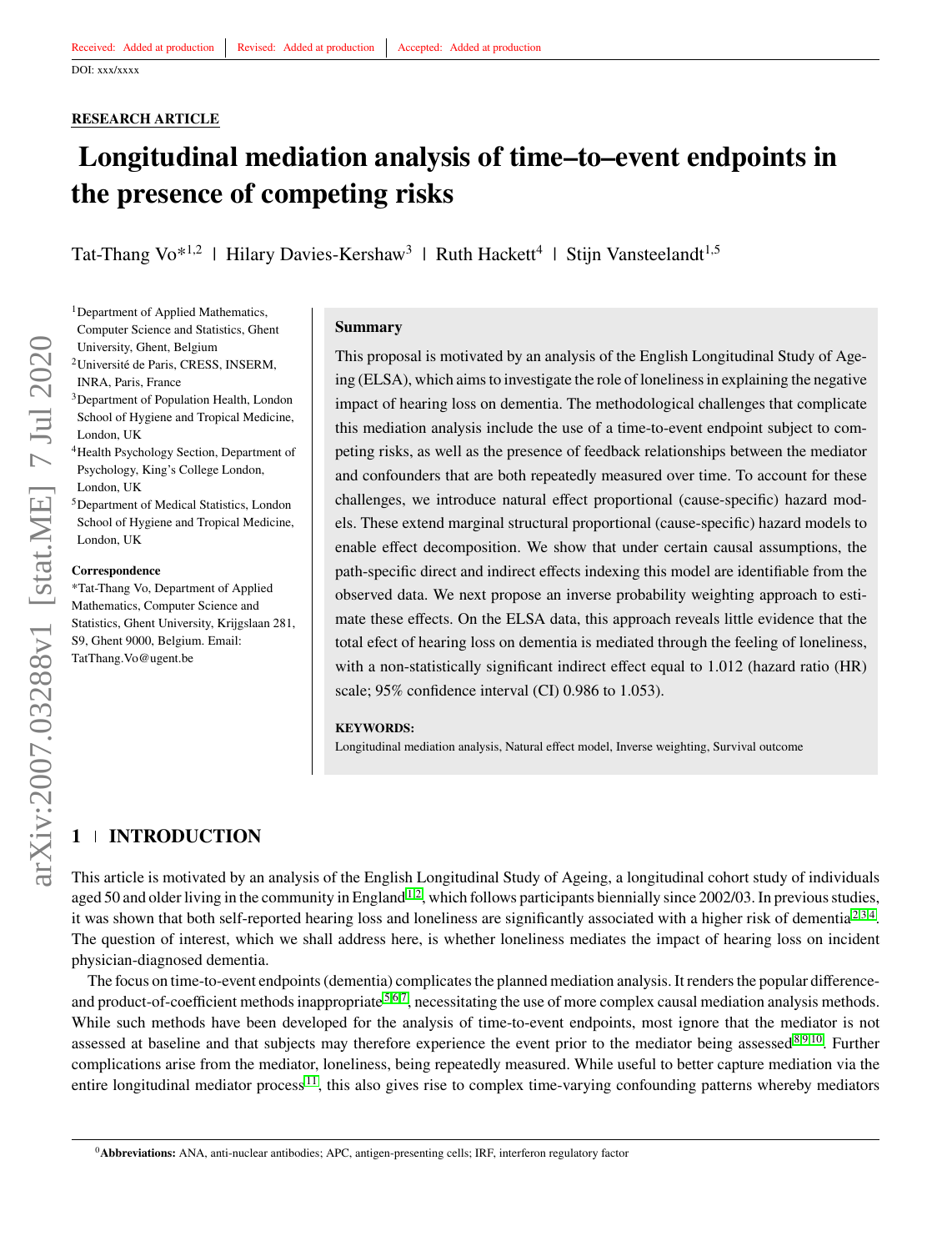# **RESEARCH ARTICLE**

# **Longitudinal mediation analysis of time–to–event endpoints in the presence of competing risks**

Tat-Thang Vo<sup>\*1,2</sup> | Hilary Davies-Kershaw<sup>3</sup> | Ruth Hackett<sup>4</sup> | Stijn Vansteelandt<sup>1,5</sup>

<sup>1</sup>Department of Applied Mathematics, Computer Science and Statistics, Ghent University, Ghent, Belgium

- <sup>2</sup>Université de Paris, CRESS, INSERM, INRA, Paris, France
- <sup>3</sup>Department of Population Health, London School of Hygiene and Tropical Medicine, London, UK
- <sup>4</sup>Health Psychology Section, Department of Psychology, King's College London, London, UK
- <sup>5</sup>Department of Medical Statistics, London School of Hygiene and Tropical Medicine, London, UK

#### **Correspondence**

\*Tat-Thang Vo, Department of Applied Mathematics, Computer Science and Statistics, Ghent University, Krijgslaan 281, S9, Ghent 9000, Belgium. Email: TatThang.Vo@ugent.be

#### **Summary**

This proposal is motivated by an analysis of the English Longitudinal Study of Ageing (ELSA), which aims to investigate the role of loneliness in explaining the negative impact of hearing loss on dementia. The methodological challenges that complicate this mediation analysis include the use of a time-to-event endpoint subject to competing risks, as well as the presence of feedback relationships between the mediator and confounders that are both repeatedly measured over time. To account for these challenges, we introduce natural effect proportional (cause-specific) hazard models. These extend marginal structural proportional (cause-specific) hazard models to enable effect decomposition. We show that under certain causal assumptions, the path-specific direct and indirect effects indexing this model are identifiable from the observed data. We next propose an inverse probability weighting approach to estimate these effects. On the ELSA data, this approach reveals little evidence that the total efect of hearing loss on dementia is mediated through the feeling of loneliness, with a non-statistically significant indirect effect equal to 1.012 (hazard ratio (HR) scale; 95% confidence interval (CI) 0.986 to 1.053).

#### **KEYWORDS:**

Longitudinal mediation analysis, Natural effect model, Inverse weighting, Survival outcome

# **1 INTRODUCTION**

This article is motivated by an analysis of the English Longitudinal Study of Ageing, a longitudinal cohort study of individuals aged 50 and older living in the community in England<sup>[1](#page-10-0)[,2](#page-10-1)</sup>, which follows participants biennially since  $2002/03$ . In previous studies, it was shown that both self-reported hearing loss and loneliness are significantly associated with a higher risk of dementia<sup>[2,](#page-10-1)[3](#page-10-2)[,4](#page-10-3)</sup>. The question of interest, which we shall address here, is whether loneliness mediates the impact of hearing loss on incident physician-diagnosed dementia.

The focus on time-to-event endpoints (dementia) complicates the planned mediation analysis. It renders the popular difference-and product-of-coefficient methods inappropriate <sup>[5,](#page-10-4)[6](#page-10-5)[,7](#page-11-0)</sup>, necessitating the use of more complex causal mediation analysis methods. While such methods have been developed for the analysis of time-to-event endpoints, most ignore that the mediator is not assessed at baseline and that subjects may therefore experience the event prior to the mediator being assessed $8,9,10$  $8,9,10$  $8,9,10$ . Further complications arise from the mediator, loneliness, being repeatedly measured. While useful to better capture mediation via the entire longitudinal mediator process  $\frac{11}{1}$  $\frac{11}{1}$  $\frac{11}{1}$ , this also gives rise to complex time-varying confounding patterns whereby mediators

<sup>0</sup>**Abbreviations:** ANA, anti-nuclear antibodies; APC, antigen-presenting cells; IRF, interferon regulatory factor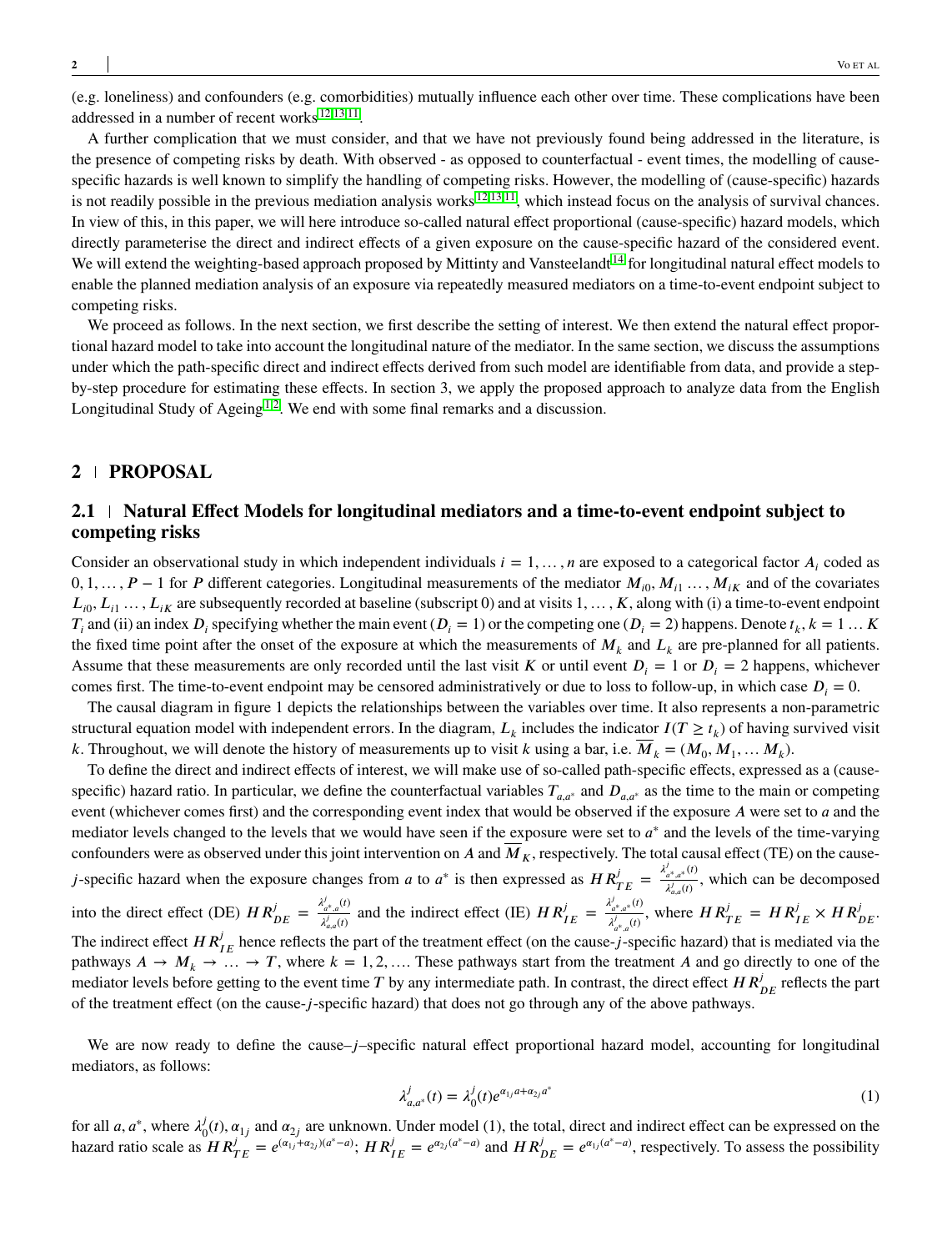(e.g. loneliness) and confounders (e.g. comorbidities) mutually influence each other over time. These complications have been addressed in a number of recent works<sup>[12,](#page-11-5)[13](#page-11-6)[,11](#page-11-4)</sup>.

A further complication that we must consider, and that we have not previously found being addressed in the literature, is the presence of competing risks by death. With observed - as opposed to counterfactual - event times, the modelling of causespecific hazards is well known to simplify the handling of competing risks. However, the modelling of (cause-specific) hazards is not readily possible in the previous mediation analysis works  $12,13,11$  $12,13,11$  $12,13,11$ , which instead focus on the analysis of survival chances. In view of this, in this paper, we will here introduce so-called natural effect proportional (cause-specific) hazard models, which directly parameterise the direct and indirect effects of a given exposure on the cause-specific hazard of the considered event. We will extend the weighting-based approach proposed by Mittinty and Vansteelandt<sup>[14](#page-11-7)</sup> for longitudinal natural effect models to enable the planned mediation analysis of an exposure via repeatedly measured mediators on a time-to-event endpoint subject to competing risks.

We proceed as follows. In the next section, we first describe the setting of interest. We then extend the natural effect proportional hazard model to take into account the longitudinal nature of the mediator. In the same section, we discuss the assumptions under which the path-specific direct and indirect effects derived from such model are identifiable from data, and provide a stepby-step procedure for estimating these effects. In section 3, we apply the proposed approach to analyze data from the English Longitudinal Study of Ageing<sup>[1](#page-10-0)[,2](#page-10-1)</sup>. We end with some final remarks and a discussion.

# **2 PROPOSAL**

# **2.1 Natural Effect Models for longitudinal mediators and a time-to-event endpoint subject to competing risks**

Consider an observational study in which independent individuals  $i = 1, \ldots, n$  are exposed to a categorical factor  $A_i$  coded as  $0, 1, \ldots, P-1$  for *P* different categories. Longitudinal measurements of the mediator  $M_{i0}, M_{i1}, \ldots, M_{iK}$  and of the covariates  $L_{i0}$ ,  $L_{i1}$   $\ldots$ ,  $L_{iK}$  are subsequently recorded at baseline (subscript 0) and at visits  $1, \ldots, K$ , along with (i) a time-to-event endpoint  $T_i$  and (ii) an index  $D_i$  specifying whether the main event ( $D_i = 1$ ) or the competing one ( $D_i = 2$ ) happens. Denote  $t_k$ ,  $k = 1...$  K the fixed time point after the onset of the exposure at which the measurements of  $M_k$  and  $L_k$  are pre-planned for all patients. Assume that these measurements are only recorded until the last visit *K* or until event  $D_i = 1$  or  $D_i = 2$  happens, whichever comes first. The time-to-event endpoint may be censored administratively or due to loss to follow-up, in which case  $D_i = 0$ .

The causal diagram in figure 1 depicts the relationships between the variables over time. It also represents a non-parametric structural equation model with independent errors. In the diagram,  $L_k$  includes the indicator  $I(T \geq t_k)$  of having survived visit *k*. Throughout, we will denote the history of measurements up to visit *k* using a bar, i.e.  $M_k = (M_0, M_1, \dots, M_k)$ .

To define the direct and indirect effects of interest, we will make use of so-called path-specific effects, expressed as a (causespecific) hazard ratio. In particular, we define the counterfactual variables  $T_{a,a^*}$  and  $D_{a,a^*}$  as the time to the main or competing event (whichever comes first) and the corresponding event index that would be observed if the exposure *A* were set to *a* and the mediator levels changed to the levels that we would have seen if the exposure were set to  $a^*$  and the levels of the time-varying confounders were as observed under this joint intervention on *A* and  $\overline{M}_K$ , respectively. The total causal effect (TE) on the cause*j*-specific hazard when the exposure changes from *a* to *a*<sup>\*</sup> is then expressed as  $HR_{TE}^j = \frac{\lambda_{a^k, a^*}^j(t)}{\lambda_{a^k}^j(t)}$  $\lambda_{a,a(t)}^{i*}$ , which can be decomposed into the direct effect (DE)  $HR_{DE}^{j} = \frac{\lambda_{a^*,a}^{j}(t)}{\lambda_{a^*}^{j}(t)}$  $\frac{\lambda_{a^*,a}^j(t)}{\lambda_{a,a}^j(t)}$  and the indirect effect (IE)  $HR_{IE}^j = \frac{\lambda_{a^*,a^*}^j(t)}{\lambda_{a^*,a}^j(t)}$  $\frac{\lambda_{a^*,a^*}^{(I)}(I)}{\lambda_{a^*,a}^{(I)}}$ , where  $HR_{TE}^j = HR_{IE}^j \times HR_{DE}^j$ . The indirect effect  $HR_{IE}^j$  hence reflects the part of the treatment effect (on the cause-*j*-specific hazard) that is mediated via the pathways  $A \rightarrow M_k \rightarrow \ldots \rightarrow T$ , where  $k = 1, 2, \ldots$  These pathways start from the treatment *A* and go directly to one of the mediator levels before getting to the event time  $T$  by any intermediate path. In contrast, the direct effect  $HR_{DE}^j$  reflects the part of the treatment effect (on the cause-*𝑗*-specific hazard) that does not go through any of the above pathways.

We are now ready to define the cause–*j*–specific natural effect proportional hazard model, accounting for longitudinal mediators, as follows:

$$
\lambda_{a,a^*}^j(t) = \lambda_0^j(t)e^{a_{1j}a + a_{2j}a^*}
$$
\n(1)

for all *a*, *a*<sup>\*</sup>, where  $\lambda_c^j$  $\alpha_{0}^{J}(t)$ ,  $\alpha_{1j}$  and  $\alpha_{2j}$  are unknown. Under model (1), the total, direct and indirect effect can be expressed on the hazard ratio scale as  $HR_{TE}^j = e^{(\alpha_{1j} + \alpha_{2j})(a^* - a)}$ ;  $HR_{IE}^j = e^{\alpha_{2j}(a^* - a)}$  and  $HR_{DE}^j = e^{\alpha_{1j}(a^* - a)}$ , respectively. To assess the possibility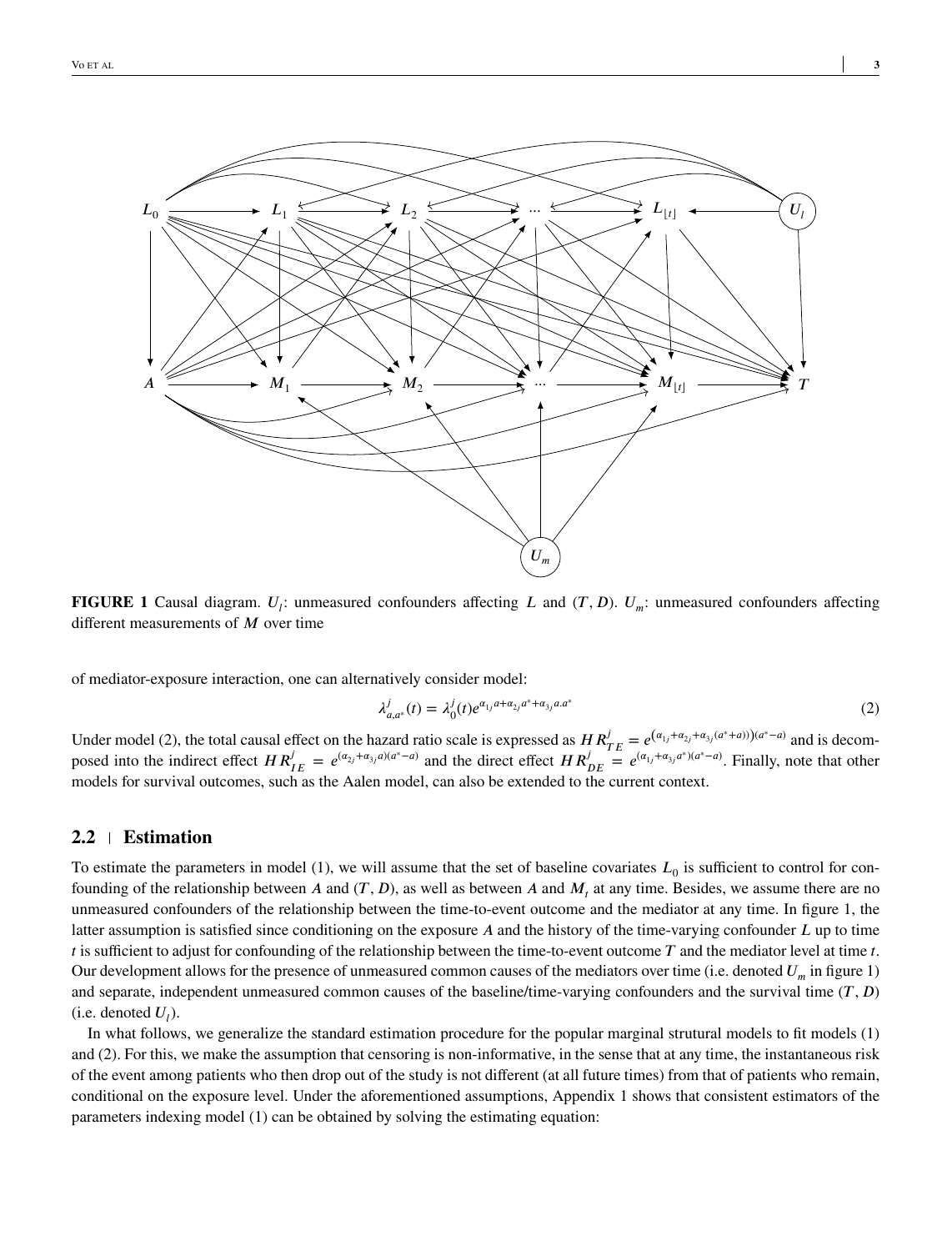

**FIGURE 1** Causal diagram.  $U_i$ : unmeasured confounders affecting *L* and  $(T, D)$ .  $U_m$ : unmeasured confounders affecting different measurements of *M* over time

of mediator-exposure interaction, one can alternatively consider model:

$$
\lambda_{a,a^*}^j(t) = \lambda_0^j(t)e^{\alpha_{1j}a + \alpha_{2j}a^* + \alpha_{3j}a.a^*}
$$
\n(2)

Under model (2), the total causal effect on the hazard ratio scale is expressed as  $HR_{TE}^{j} = e^{(\alpha_{1j} + \alpha_{2j} + \alpha_{3j}(a^{*} + a)))(a^{*} - a)}$  and is decomposed into the indirect effect  $HR_{IE}^j = e^{(\alpha_{2j} + \alpha_{3j}a)(a^*-a)}$  and the direct effect  $HR_{DE}^j = e^{(\alpha_{1j} + \alpha_{3j}a^*)(a^*-a)}$ . Finally, note that other models for survival outcomes, such as the Aalen model, can also be extended to the current context.

#### **2.2 Estimation**

To estimate the parameters in model  $(1)$ , we will assume that the set of baseline covariates  $L_0$  is sufficient to control for confounding of the relationship between *A* and  $(T, D)$ , as well as between *A* and  $M_t$  at any time. Besides, we assume there are no unmeasured confounders of the relationship between the time-to-event outcome and the mediator at any time. In figure 1, the latter assumption is satisfied since conditioning on the exposure *A* and the history of the time-varying confounder *L* up to time *t* is sufficient to adjust for confounding of the relationship between the time-to-event outcome  $T$  and the mediator level at time  $t$ . Our development allows for the presence of unmeasured common causes of the mediators over time (i.e. denoted  $U_m$  in figure 1) and separate, independent unmeasured common causes of the baseline/time-varying confounders and the survival time  $(T, D)$  $(i.e.$  denoted  $U_l$ ).

In what follows, we generalize the standard estimation procedure for the popular marginal strutural models to fit models (1) and (2). For this, we make the assumption that censoring is non-informative, in the sense that at any time, the instantaneous risk of the event among patients who then drop out of the study is not different (at all future times) from that of patients who remain, conditional on the exposure level. Under the aforementioned assumptions, Appendix 1 shows that consistent estimators of the parameters indexing model (1) can be obtained by solving the estimating equation: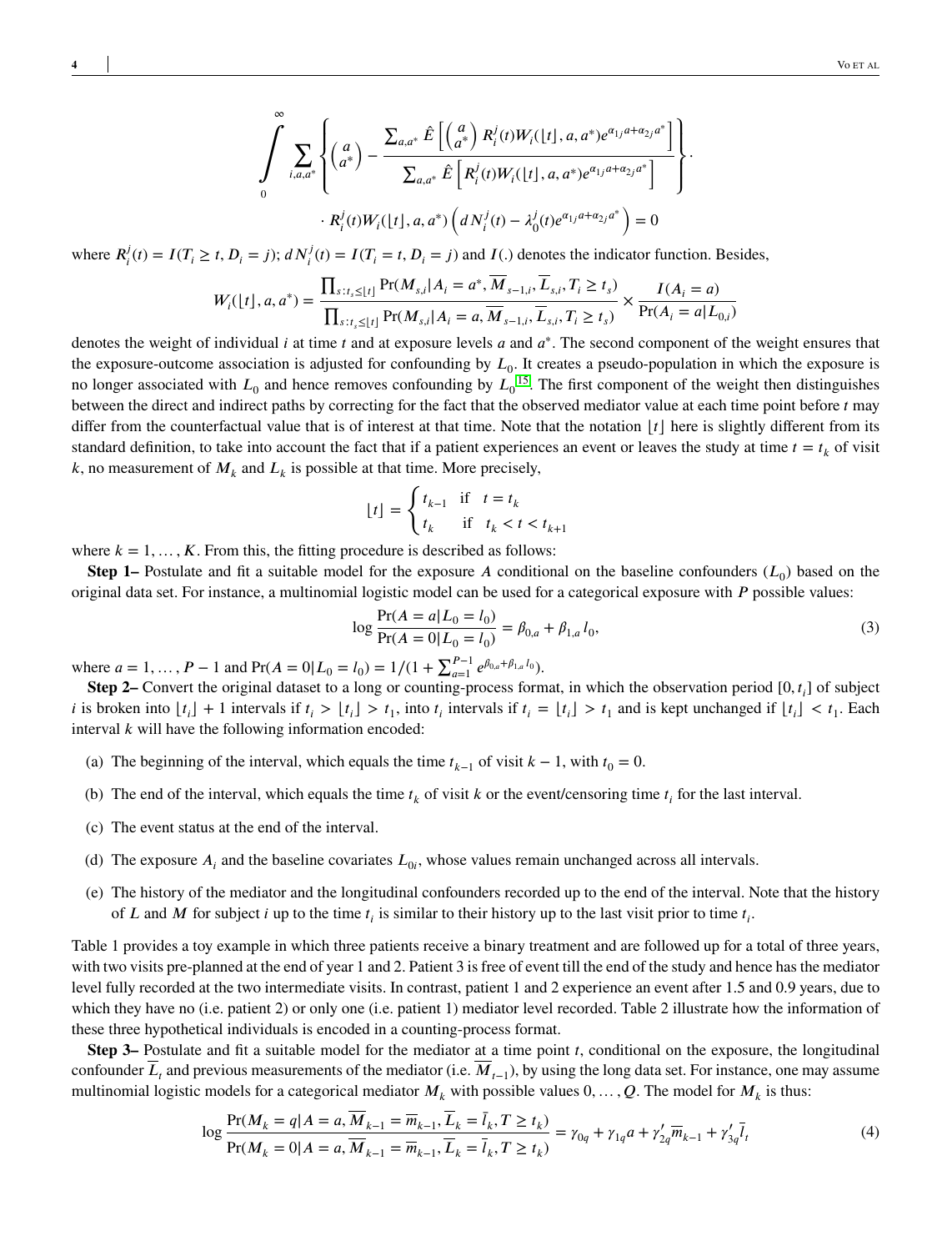$$
\int_{0}^{\infty} \sum_{i,a,a^{*}} \left\{ \begin{pmatrix} a \\ a^{*} \end{pmatrix} - \frac{\sum_{a,a^{*}} \hat{E}\left[ \begin{pmatrix} a \\ a^{*} \end{pmatrix} R_{i}^{j}(t) W_{i}([t],a,a^{*}) e^{\alpha_{1j}a+\alpha_{2j}a^{*}} \right]}{\sum_{a,a^{*}} \hat{E}\left[ R_{i}^{j}(t) W_{i}([t],a,a^{*}) e^{\alpha_{1j}a+\alpha_{2j}a^{*}} \right]} \right\} \cdot R_{i}^{j}(t) W_{i}([t],a,a^{*}) \left( d N_{i}^{j}(t) - \lambda_{0}^{j}(t) e^{\alpha_{1j}a+\alpha_{2j}a^{*}} \right) = 0
$$

where  $R_i^j$  $I_i^j(t) = I(T_i \ge t, D_i = j)$ ;  $dN_i^j(t) = I(T_i = t, D_i = j)$  and  $I(.)$  denotes the indicator function. Besides,

$$
W_i(\lfloor t \rfloor, a, a^*) = \frac{\prod_{s:t_s \leq \lfloor t \rfloor} Pr(M_{s,i}|A_i = a^*, \overline{M}_{s-1,i}, \overline{L}_{s,i}, T_i \geq t_s)}{\prod_{s:t_s \leq \lfloor t \rfloor} Pr(M_{s,i}|A_i = a, \overline{M}_{s-1,i}, \overline{L}_{s,i}, T_i \geq t_s)} \times \frac{I(A_i = a)}{Pr(A_i = a|L_{0,i})}
$$

denotes the weight of individual *i* at time *t* and at exposure levels *a* and  $a^*$ . The second component of the weight ensures that the exposure-outcome association is adjusted for confounding by  $L_0$ . It creates a pseudo-population in which the exposure is no longer associated with  $L_0$  and hence removes confounding by  $L_0$ <sup>[15](#page-11-8)</sup>. The first component of the weight then distinguishes between the direct and indirect paths by correcting for the fact that the observed mediator value at each time point before *t* may differ from the counterfactual value that is of interest at that time. Note that the notation  $|t|$  here is slightly different from its standard definition, to take into account the fact that if a patient experiences an event or leaves the study at time  $t = t_k$  of visit  $k$ , no measurement of  $M_k$  and  $L_k$  is possible at that time. More precisely,

$$
\lfloor t \rfloor = \begin{cases} t_{k-1} & \text{if} \quad t = t_k \\ t_k & \text{if} \quad t_k < t < t_{k+1} \end{cases}
$$

where  $k = 1, \ldots, K$ . From this, the fitting procedure is described as follows:

**Step 1–** Postulate and fit a suitable model for the exposure A conditional on the baseline confounders  $(L_0)$  based on the original data set. For instance, a multinomial logistic model can be used for a categorical exposure with *P* possible values:

$$
\log \frac{\Pr(A = a | L_0 = l_0)}{\Pr(A = 0 | L_0 = l_0)} = \beta_{0,a} + \beta_{1,a} l_0,
$$
\n(3)

where  $a = 1, ..., P - 1$  and  $Pr(A = 0 | L_0 = l_0) = 1/(1 + \sum_{a=1}^{P-1} e^{\beta_{0,a} + \beta_{1,a} l_0}).$ 

**Step 2–** Convert the original dataset to a long or counting-process format, in which the observation period [0,  $t_i$ ] of subject *i* is broken into  $[t_i] + 1$  intervals if  $t_i > [t_i] > t_1$ , into  $t_i$  intervals if  $t_i = [t_i] > t_1$  and is kept unchanged if  $[t_i] < t_1$ . Each interval *k* will have the following information encoded:

- (a) The beginning of the interval, which equals the time  $t_{k-1}$  of visit  $k-1$ , with  $t_0 = 0$ .
- (b) The end of the interval, which equals the time  $t_k$  of visit  $k$  or the event/censoring time  $t_i$  for the last interval.
- (c) The event status at the end of the interval.
- (d) The exposure  $A_i$  and the baseline covariates  $L_{0i}$ , whose values remain unchanged across all intervals.
- (e) The history of the mediator and the longitudinal confounders recorded up to the end of the interval. Note that the history of *L* and *M* for subject *i* up to the time  $t_i$  is similar to their history up to the last visit prior to time  $t_i$ .

Table 1 provides a toy example in which three patients receive a binary treatment and are followed up for a total of three years, with two visits pre-planned at the end of year 1 and 2. Patient 3 is free of event till the end of the study and hence has the mediator level fully recorded at the two intermediate visits. In contrast, patient 1 and 2 experience an event after 1.5 and 0.9 years, due to which they have no (i.e. patient 2) or only one (i.e. patient 1) mediator level recorded. Table 2 illustrate how the information of these three hypothetical individuals is encoded in a counting-process format.

**Step 3–** Postulate and fit a suitable model for the mediator at a time point *t*, conditional on the exposure, the longitudinal confounder *L*<sub>t</sub> and previous measurements of the mediator (i.e. *M*<sub>*t*−1</sub>), by using the long data set. For instance, one may assume multinomial logistic models for a categorical mediator  $M_k$  with possible values  $0, \ldots, Q$ . The model for  $M_k$  is thus:

$$
\log \frac{\Pr(M_k = q | A = a, \overline{M}_{k-1} = \overline{m}_{k-1}, \overline{L}_k = \overline{l}_k, T \ge t_k)}{\Pr(M_k = 0 | A = a, \overline{M}_{k-1} = \overline{m}_{k-1}, \overline{L}_k = \overline{l}_k, T \ge t_k)} = \gamma_{0q} + \gamma_{1q} a + \gamma'_{2q} \overline{m}_{k-1} + \gamma'_{3q} \overline{l}_t
$$
\n(4)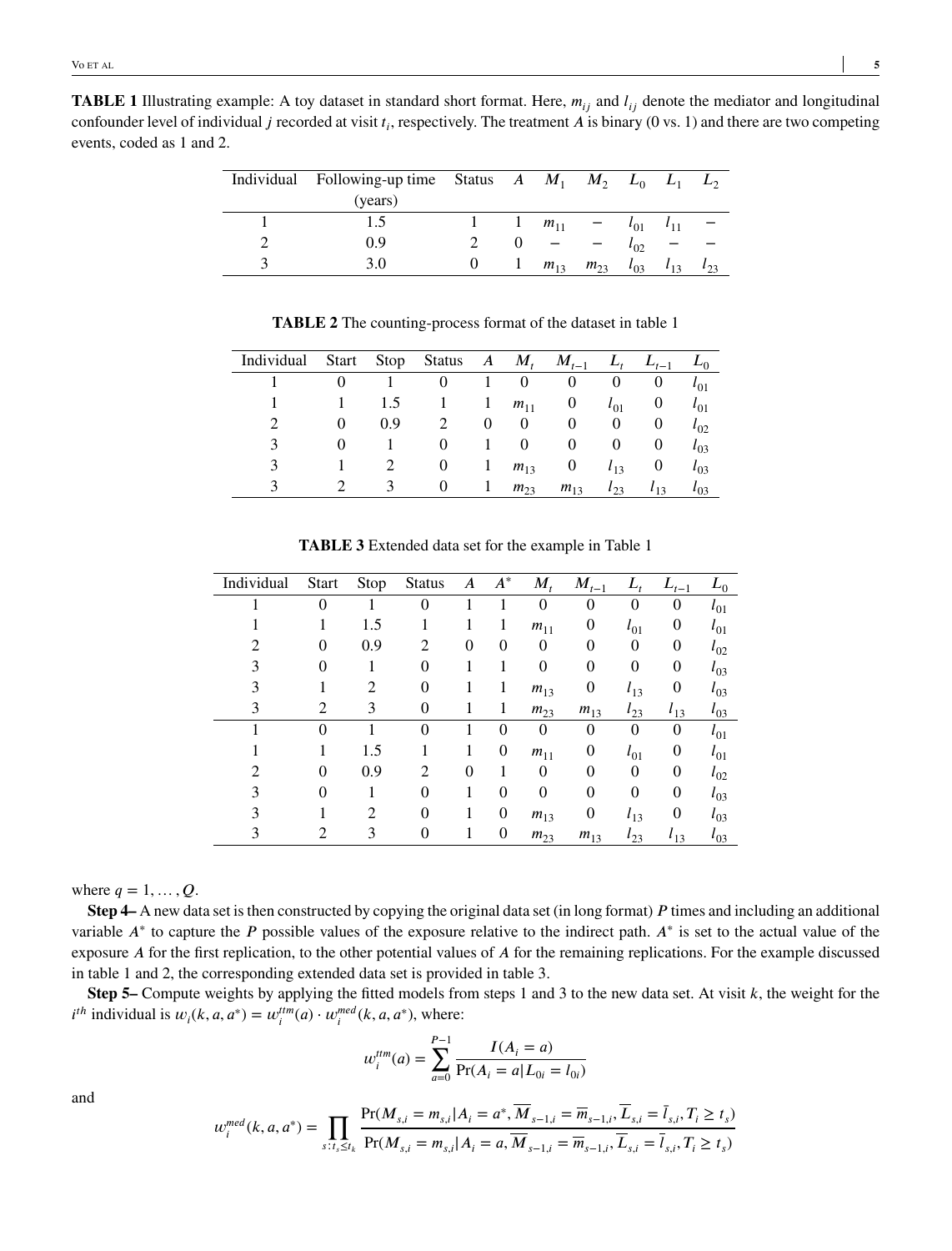| Individual Following-up time Status A $M_1$ $M_2$ $L_0$ $L_1$ $L_2$<br>(years) |             |          |                   |                   |          |          |
|--------------------------------------------------------------------------------|-------------|----------|-------------------|-------------------|----------|----------|
| 1.5                                                                            | $1 \quad 1$ | $m_{11}$ | $ -$              | $l_{01}$ $l_{11}$ |          |          |
| 0.9                                                                            |             |          |                   | $\iota_{02}$      |          |          |
| 3.0                                                                            |             |          | $m_{13}$ $m_{23}$ | $l_{03}$          | $l_{13}$ | $l_{23}$ |

**TABLE 2** The counting-process format of the dataset in table 1

| Individual Start Stop Status A $M_t$ $M_{t-1}$ |          |     |          |              |          |              |              | $L_t$ $L_{t-1}$ | $L_0$    |
|------------------------------------------------|----------|-----|----------|--------------|----------|--------------|--------------|-----------------|----------|
|                                                |          |     |          |              | $\theta$ | $\mathbf 0$  | $\mathbf{0}$ | U               | $l_{01}$ |
|                                                |          | 1.5 |          | $\mathbf{1}$ | $m_{11}$ | $\mathbf{U}$ | $l_{01}$     | $\mathbf{0}$    | $l_{01}$ |
|                                                | $\theta$ | 0.9 |          | $\theta$     | $\theta$ | U            | $\theta$     | $\theta$        | $l_{02}$ |
| 3                                              |          |     | $\theta$ | $\mathbf{1}$ | $\theta$ | $\mathbf{0}$ | $\mathbf{0}$ | $\mathbf{0}$    | $l_{03}$ |
|                                                |          |     | U        | $\perp$      | $m_{13}$ |              | $l_{13}$     | $\mathbf{0}$    | $l_{03}$ |
|                                                |          |     |          |              | $m_{23}$ | $m_{13}$     | $l_{23}$     | $l_{13}$        | $l_{03}$ |

| Individual | <b>Start</b> | Stop | <b>Status</b> | A        | $A^*$    | $M_{t}$        | $M_{t-1}$ |                | $L_{t-1}$      | $L_0$        |
|------------|--------------|------|---------------|----------|----------|----------------|-----------|----------------|----------------|--------------|
|            | $\Omega$     |      | $\Omega$      |          |          | $\overline{0}$ | $\theta$  | $\overline{0}$ | $\overline{0}$ | $\iota_{01}$ |
|            |              | 1.5  |               |          |          | $m_{11}$       | 0         | $l_{01}$       | 0              | $\iota_{01}$ |
|            | $\theta$     | 0.9  | 2             | $\theta$ | $\theta$ | $\overline{0}$ | 0         | $\theta$       | 0              | $t_{02}$     |
|            | $\theta$     |      | 0             |          |          | $\overline{0}$ | 0         | 0              | $\overline{0}$ | $t_{03}$     |
|            |              | 2    | 0             |          |          | $m_{13}$       | 0         | $l_{13}$       | 0              | $l_{03}$     |
|            | 2            | 3    | 0             |          |          | $m_{23}$       | $m_{13}$  | $l_{23}$       | $l_{13}$       | $\iota_{03}$ |
|            | 0            |      | $\Omega$      |          | 0        | 0              | 0         | 0              | 0              | $\iota_{01}$ |
|            |              | 1.5  |               |          | 0        | $m_{11}$       | 0         | $\iota_{01}$   | 0              | $\iota_{01}$ |
| 2          | $\Omega$     | 0.9  | 2             | $\Omega$ |          | $\theta$       | 0         | 0              | 0              | $t_{02}$     |
|            | $\Omega$     |      | 0             |          | $\Omega$ | $\theta$       | $\Omega$  | 0              | $\overline{0}$ | $t_{03}$     |
|            |              | 2    | $\theta$      |          | 0        | $m_{13}$       | 0         | $l_{13}$       | $\overline{0}$ | $t_{03}$     |
|            |              | 3    | 0             |          | 0        | $m_{23}$       | $m_{13}$  | $l_{23}$       | $l_{13}$       | $\iota_{03}$ |

**TABLE 3** Extended data set for the example in Table 1

where  $q = 1, ..., Q$ .

**Step 4–** A new data set is then constructed by copying the original data set (in long format) P times and including an additional variable  $A^*$  to capture the *P* possible values of the exposure relative to the indirect path.  $A^*$  is set to the actual value of the exposure *A* for the first replication, to the other potential values of *A* for the remaining replications. For the example discussed in table 1 and 2, the corresponding extended data set is provided in table 3.

**Step 5–** Compute weights by applying the fitted models from steps 1 and 3 to the new data set. At visit  $k$ , the weight for the  $i^{th}$  individual is  $w_i(k, a, a^*) = w_i^{ttm}(a) \cdot w_i^{med}(k, a, a^*)$ , where:

$$
w_i^{tim}(a) = \sum_{a=0}^{P-1} \frac{I(A_i = a)}{\Pr(A_i = a | L_{0i} = l_{0i})}
$$

and

$$
w_i^{med}(k, a, a^*) = \prod_{s:t_s \le t_k} \frac{\Pr(M_{s,i} = m_{s,i} | A_i = a^*, \overline{M}_{s-1,i} = \overline{m}_{s-1,i}, \overline{L}_{s,i} = \overline{l}_{s,i}, T_i \ge t_s)}{\Pr(M_{s,i} = m_{s,i} | A_i = a, \overline{M}_{s-1,i} = \overline{m}_{s-1,i}, \overline{L}_{s,i} = \overline{l}_{s,i}, T_i \ge t_s)}
$$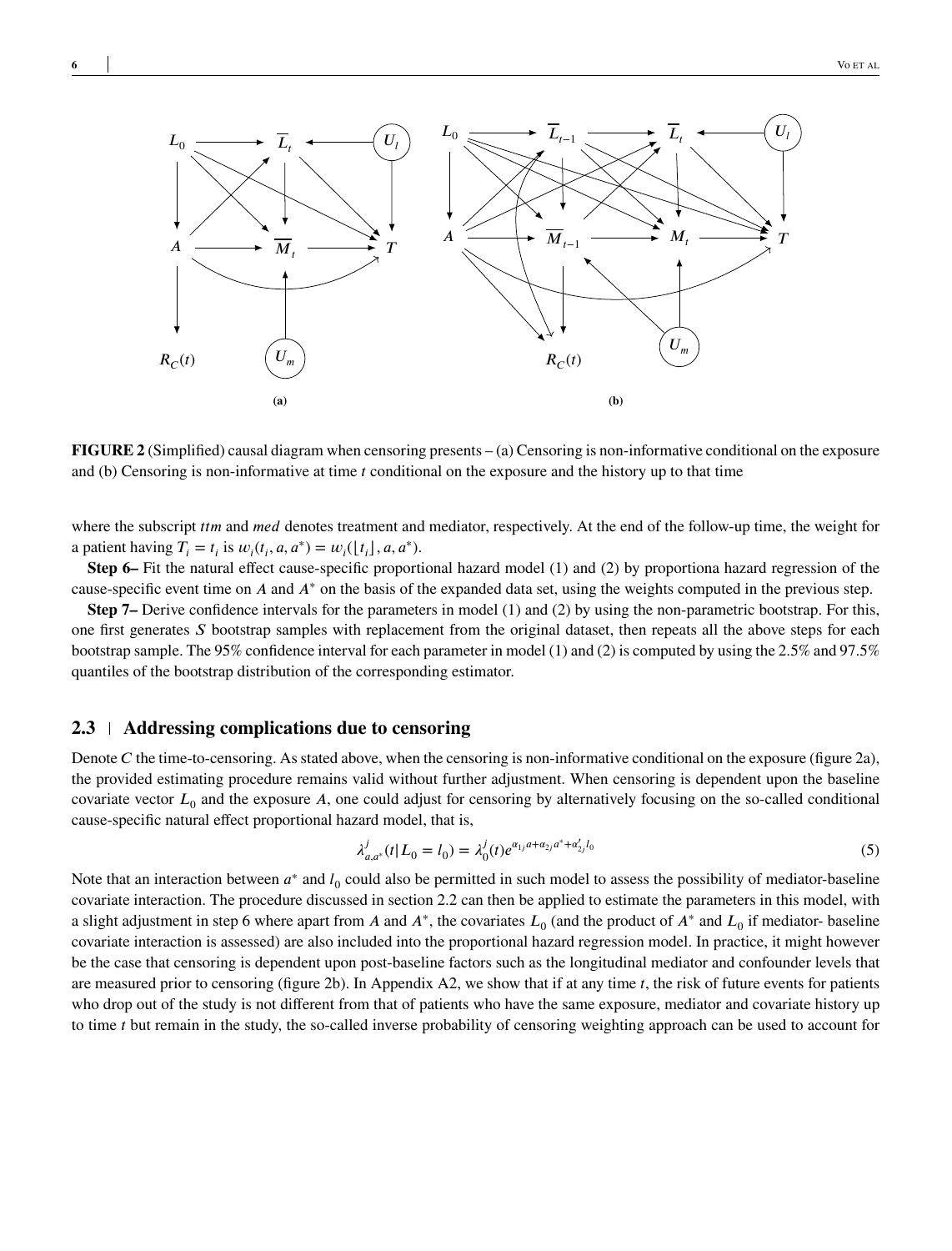

**FIGURE 2** (Simplified) causal diagram when censoring presents – (a) Censoring is non-informative conditional on the exposure and (b) Censoring is non-informative at time *t* conditional on the exposure and the history up to that time

where the subscript *ttm* and *med* denotes treatment and mediator, respectively. At the end of the follow-up time, the weight for a patient having  $T_i = t_i$  is  $w_i(t_i, a, a^*) = w_i(\lfloor t_i \rfloor, a, a^*)$ .

**Step 6–** Fit the natural effect cause-specific proportional hazard model (1) and (2) by proportiona hazard regression of the cause-specific event time on *A* and *A*<sup>\*</sup> on the basis of the expanded data set, using the weights computed in the previous step.

**Step 7–** Derive confidence intervals for the parameters in model (1) and (2) by using the non-parametric bootstrap. For this, one first generates S bootstrap samples with replacement from the original dataset, then repeats all the above steps for each bootstrap sample. The 95% confidence interval for each parameter in model (1) and (2) is computed by using the 2.5% and 97.5% quantiles of the bootstrap distribution of the corresponding estimator.

#### **2.3 Addressing complications due to censoring**

Denote *C* the time-to-censoring. As stated above, when the censoring is non-informative conditional on the exposure (figure 2a), the provided estimating procedure remains valid without further adjustment. When censoring is dependent upon the baseline covariate vector  $L_0$  and the exposure A, one could adjust for censoring by alternatively focusing on the so-called conditional cause-specific natural effect proportional hazard model, that is,

$$
\lambda_{a,a^*}^j(t|L_0 = l_0) = \lambda_0^j(t)e^{\alpha_{1j}a + \alpha_{2j}a^* + \alpha_{2j}'l_0}
$$
\n<sup>(5)</sup>

Note that an interaction between  $a^*$  and  $l_0$  could also be permitted in such model to assess the possibility of mediator-baseline covariate interaction. The procedure discussed in section 2.2 can then be applied to estimate the parameters in this model, with a slight adjustment in step 6 where apart from *A* and  $A^*$ , the covariates  $L_0$  (and the product of  $A^*$  and  $L_0$  if mediator-baseline covariate interaction is assessed) are also included into the proportional hazard regression model. In practice, it might however be the case that censoring is dependent upon post-baseline factors such as the longitudinal mediator and confounder levels that are measured prior to censoring (figure 2b). In Appendix A2, we show that if at any time *t*, the risk of future events for patients who drop out of the study is not different from that of patients who have the same exposure, mediator and covariate history up to time *t* but remain in the study, the so-called inverse probability of censoring weighting approach can be used to account for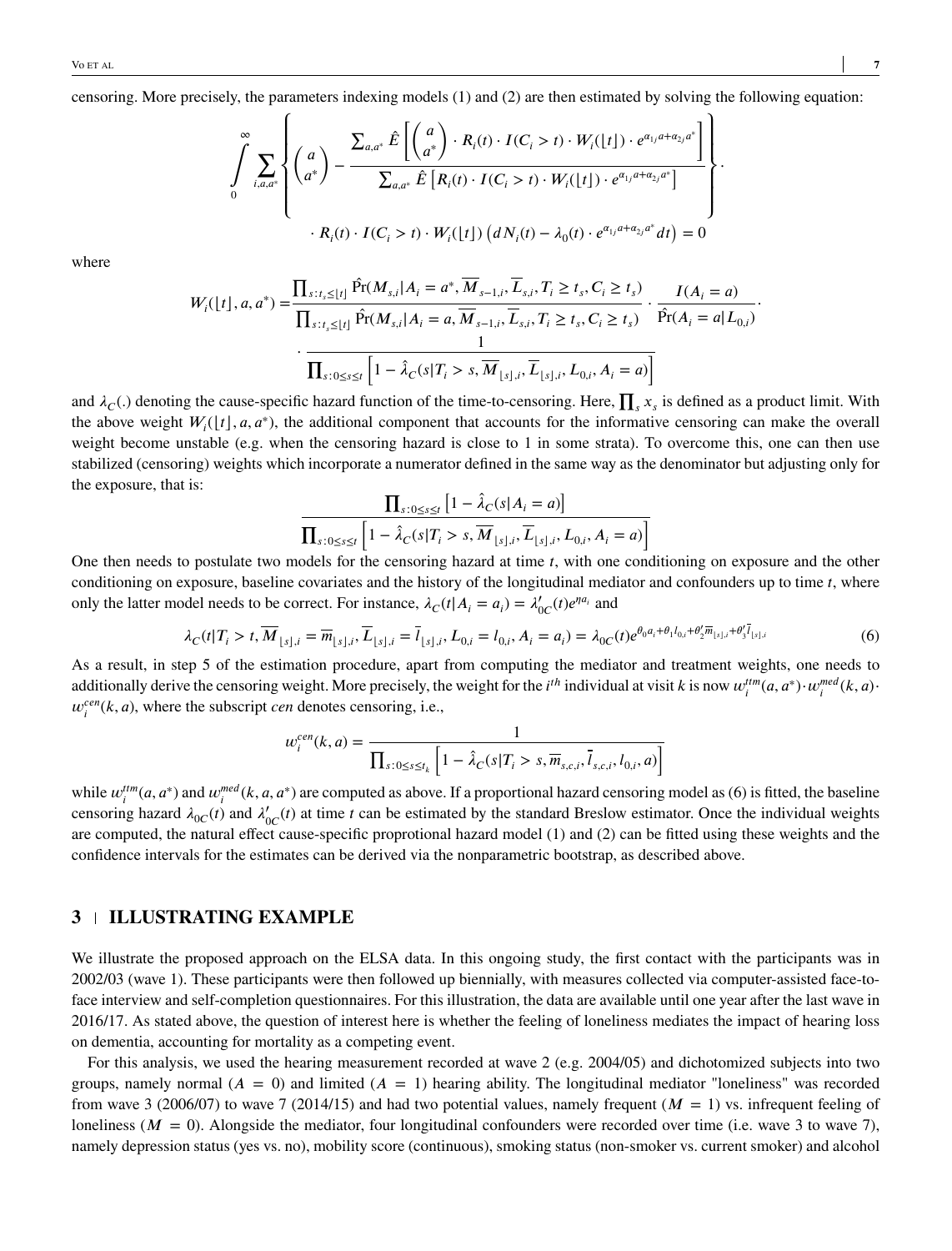censoring. More precisely, the parameters indexing models (1) and (2) are then estimated by solving the following equation:

$$
\int\limits_{0}^{\infty}\sum\limits_{i,a,a^*}\left\{\begin{pmatrix}a\\a^*\end{pmatrix}-\frac{\sum_{a,a^*}\hat{E}\left[\begin{pmatrix}a\\a^*\end{pmatrix}\cdot R_i(t)\cdot I(C_i>t)\cdot W_i(\lfloor t\rfloor)\cdot e^{\alpha_{1j}a+\alpha_{2j}a^*}\right]}{\sum_{a,a^*}\hat{E}\left[R_i(t)\cdot I(C_i>t)\cdot W_i(\lfloor t\rfloor)\cdot e^{\alpha_{1j}a+\alpha_{2j}a^*}\right]}\right\}.
$$

$$
R_i(t)\cdot I(C_i>t)\cdot W_i(\lfloor t\rfloor)\left(dN_i(t)-\lambda_0(t)\cdot e^{\alpha_{1j}a+\alpha_{2j}a^*}dt\right)=0
$$

where

$$
W_{i}([t], a, a^{*}) = \frac{\prod_{s:t_{s} \leq [t]} \hat{Pr}(M_{s,i}|A_{i} = a^{*}, \overline{M}_{s-1,i}, \overline{L}_{s,i}, T_{i} \geq t_{s}, C_{i} \geq t_{s})}{\prod_{s:t_{s} \leq [t]} \hat{Pr}(M_{s,i}|A_{i} = a, \overline{M}_{s-1,i}, \overline{L}_{s,i}, T_{i} \geq t_{s}, C_{i} \geq t_{s})} \cdot \frac{I(A_{i} = a)}{\hat{Pr}(A_{i} = a|L_{0,i})}.
$$
\n
$$
\frac{1}{\prod_{s:0 \leq s \leq t} \left[1 - \hat{\lambda}_{C}(s|T_{i} > s, \overline{M}_{\lfloor s \rfloor,i}, \overline{L}_{\lfloor s \rfloor,i}, L_{0,i}, A_{i} = a)\right]}
$$

and  $\lambda_C$ (.) denoting the cause-specific hazard function of the time-to-censoring. Here,  $\prod_s x_s$  is defined as a product limit. With the above weight  $W_i(\lfloor t \rfloor, a, a^*)$ , the additional component that accounts for the informative censoring can make the overall weight become unstable (e.g. when the censoring hazard is close to 1 in some strata). To overcome this, one can then use stabilized (censoring) weights which incorporate a numerator defined in the same way as the denominator but adjusting only for the exposure, that is: **∏** [ ]

$$
\frac{\prod_{s:0\leq s\leq t} [1-\hat{\lambda}_C(s|A_i=a)]}{\prod_{s:0\leq s\leq t} [1-\hat{\lambda}_C(s|T_i>s,\overline{M}_{\lfloor s\rfloor,i},\overline{L}_{\lfloor s\rfloor,i},L_{0,i},A_i=a)]}
$$

One then needs to postulate two models for the censoring hazard at time *t*, with one conditioning on exposure and the other conditioning on exposure, baseline covariates and the history of the longitudinal mediator and confounders up to time *t*, where only the latter model needs to be correct. For instance,  $\lambda_C(t|A_i = a_i) = \lambda'_{0C}(t)e^{\eta a_i}$  and

$$
\lambda_C(t|T_i > t, \overline{M}_{\lfloor s \rfloor, i} = \overline{m}_{\lfloor s \rfloor, i}, \overline{L}_{\lfloor s \rfloor, i} = \overline{l}_{\lfloor s \rfloor, i}, L_{0,i} = l_{0,i}, A_i = a_i) = \lambda_{0C}(t)e^{\theta_0 a_i + \theta_1 l_{0,i} + \theta_2' \overline{m}_{\lfloor s \rfloor, i} + \theta_3' \overline{l}_{\lfloor s \rfloor, i}} \tag{6}
$$

As a result, in step 5 of the estimation procedure, apart from computing the mediator and treatment weights, one needs to additionally derive the censoring weight. More precisely, the weight for the *i*<sup>th</sup> individual at visit *k* is now  $w_i^{tm}(a, a^*) \cdot w_i^{med}(k, a)$  $w_i^{cen}(k, a)$ , where the subscript *cen* denotes censoring, i.e.,

$$
w_i^{cen}(k, a) = \frac{1}{\prod_{s:0 \le s \le t_k} \left[1 - \hat{\lambda}_C(s|T_i > s, \overline{m}_{s,c,i}, \overline{l}_{s,c,i}, l_{0,i}, a)\right]}
$$

while  $w_i^{ttm}(a, a^*)$  and  $w_i^{med}(k, a, a^*)$  are computed as above. If a proportional hazard censoring model as (6) is fitted, the baseline censoring hazard  $\lambda_{0C}(t)$  and  $\lambda'_{0C}(t)$  at time *t* can be estimated by the standard Breslow estimator. Once the individual weights are computed, the natural effect cause-specific proprotional hazard model (1) and (2) can be fitted using these weights and the confidence intervals for the estimates can be derived via the nonparametric bootstrap, as described above.

### **3 ILLUSTRATING EXAMPLE**

We illustrate the proposed approach on the ELSA data. In this ongoing study, the first contact with the participants was in 2002/03 (wave 1). These participants were then followed up biennially, with measures collected via computer-assisted face-toface interview and self-completion questionnaires. For this illustration, the data are available until one year after the last wave in 2016/17. As stated above, the question of interest here is whether the feeling of loneliness mediates the impact of hearing loss on dementia, accounting for mortality as a competing event.

For this analysis, we used the hearing measurement recorded at wave 2 (e.g. 2004/05) and dichotomized subjects into two groups, namely normal  $(A = 0)$  and limited  $(A = 1)$  hearing ability. The longitudinal mediator "loneliness" was recorded from wave 3 (2006/07) to wave 7 (2014/15) and had two potential values, namely frequent  $(M = 1)$  vs. infrequent feeling of loneliness ( $M = 0$ ). Alongside the mediator, four longitudinal confounders were recorded over time (i.e. wave 3 to wave 7), namely depression status (yes vs. no), mobility score (continuous), smoking status (non-smoker vs. current smoker) and alcohol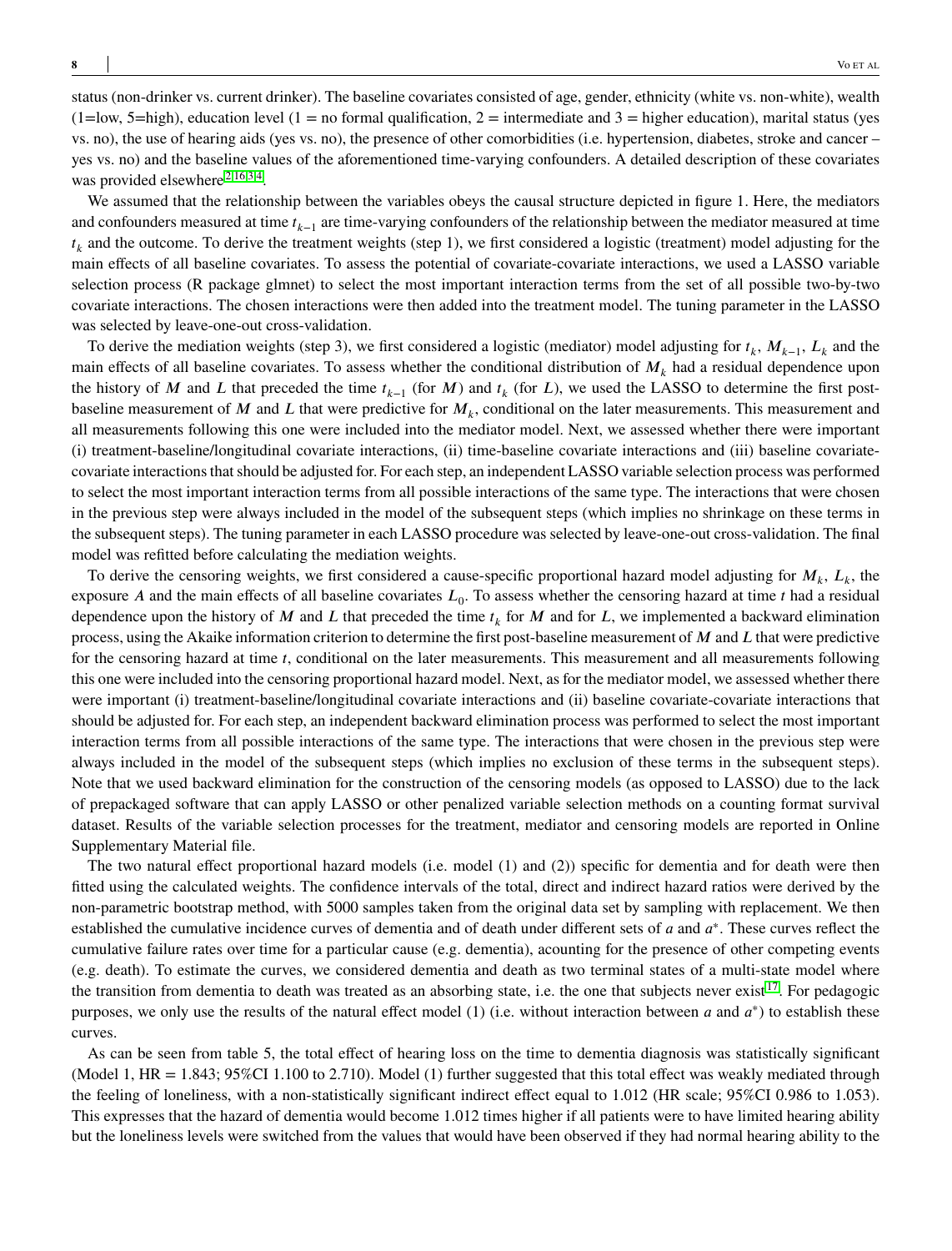status (non-drinker vs. current drinker). The baseline covariates consisted of age, gender, ethnicity (white vs. non-white), wealth  $(1=low, 5=high)$ , education level  $(1=no$  formal qualification,  $2=$  intermediate and  $3=$  higher education), marital status (yes vs. no), the use of hearing aids (yes vs. no), the presence of other comorbidities (i.e. hypertension, diabetes, stroke and cancer – yes vs. no) and the baseline values of the aforementioned time-varying confounders. A detailed description of these covariates was provided elsewhere<sup>[2](#page-10-1)[,16](#page-11-9)[,3](#page-10-2)[,4](#page-10-3)</sup>.

We assumed that the relationship between the variables obeys the causal structure depicted in figure 1. Here, the mediators and confounders measured at time  $t_{k-1}$  are time-varying confounders of the relationship between the mediator measured at time  $t_k$  and the outcome. To derive the treatment weights (step 1), we first considered a logistic (treatment) model adjusting for the main effects of all baseline covariates. To assess the potential of covariate-covariate interactions, we used a LASSO variable selection process (R package glmnet) to select the most important interaction terms from the set of all possible two-by-two covariate interactions. The chosen interactions were then added into the treatment model. The tuning parameter in the LASSO was selected by leave-one-out cross-validation.

To derive the mediation weights (step 3), we first considered a logistic (mediator) model adjusting for  $t_k$ ,  $M_{k-1}$ ,  $L_k$  and the main effects of all baseline covariates. To assess whether the conditional distribution of  $M_k$  had a residual dependence upon the history of *M* and *L* that preceded the time  $t_{k-1}$  (for *M*) and  $t_k$  (for *L*), we used the LASSO to determine the first postbaseline measurement of  $M$  and  $L$  that were predictive for  $M_k$ , conditional on the later measurements. This measurement and all measurements following this one were included into the mediator model. Next, we assessed whether there were important (i) treatment-baseline/longitudinal covariate interactions, (ii) time-baseline covariate interactions and (iii) baseline covariatecovariate interactions that should be adjusted for. For each step, an independent LASSO variable selection process was performed to select the most important interaction terms from all possible interactions of the same type. The interactions that were chosen in the previous step were always included in the model of the subsequent steps (which implies no shrinkage on these terms in the subsequent steps). The tuning parameter in each LASSO procedure was selected by leave-one-out cross-validation. The final model was refitted before calculating the mediation weights.

To derive the censoring weights, we first considered a cause-specific proportional hazard model adjusting for  $M_k$ ,  $L_k$ , the exposure *A* and the main effects of all baseline covariates  $L_0$ . To assess whether the censoring hazard at time *t* had a residual dependence upon the history of *M* and *L* that preceded the time  $t_k$  for *M* and for *L*, we implemented a backward elimination process, using the Akaike information criterion to determine the first post-baseline measurement of *M* and *L* that were predictive for the censoring hazard at time *t*, conditional on the later measurements. This measurement and all measurements following this one were included into the censoring proportional hazard model. Next, as for the mediator model, we assessed whether there were important (i) treatment-baseline/longitudinal covariate interactions and (ii) baseline covariate-covariate interactions that should be adjusted for. For each step, an independent backward elimination process was performed to select the most important interaction terms from all possible interactions of the same type. The interactions that were chosen in the previous step were always included in the model of the subsequent steps (which implies no exclusion of these terms in the subsequent steps). Note that we used backward elimination for the construction of the censoring models (as opposed to LASSO) due to the lack of prepackaged software that can apply LASSO or other penalized variable selection methods on a counting format survival dataset. Results of the variable selection processes for the treatment, mediator and censoring models are reported in Online Supplementary Material file.

The two natural effect proportional hazard models (i.e. model (1) and (2)) specific for dementia and for death were then fitted using the calculated weights. The confidence intervals of the total, direct and indirect hazard ratios were derived by the non-parametric bootstrap method, with 5000 samples taken from the original data set by sampling with replacement. We then established the cumulative incidence curves of dementia and of death under different sets of *a* and  $a^*$ . These curves reflect the cumulative failure rates over time for a particular cause (e.g. dementia), acounting for the presence of other competing events (e.g. death). To estimate the curves, we considered dementia and death as two terminal states of a multi-state model where the transition from dementia to death was treated as an absorbing state, i.e. the one that subjects never exist  $1^7$ . For pedagogic purposes, we only use the results of the natural effect model (1) (i.e. without interaction between *a* and *a*<sup>\*</sup>) to establish these curves.

As can be seen from table 5, the total effect of hearing loss on the time to dementia diagnosis was statistically significant (Model 1, HR = 1.843; 95%CI 1.100 to 2.710). Model (1) further suggested that this total effect was weakly mediated through the feeling of loneliness, with a non-statistically significant indirect effect equal to 1.012 (HR scale; 95%CI 0.986 to 1.053). This expresses that the hazard of dementia would become 1.012 times higher if all patients were to have limited hearing ability but the loneliness levels were switched from the values that would have been observed if they had normal hearing ability to the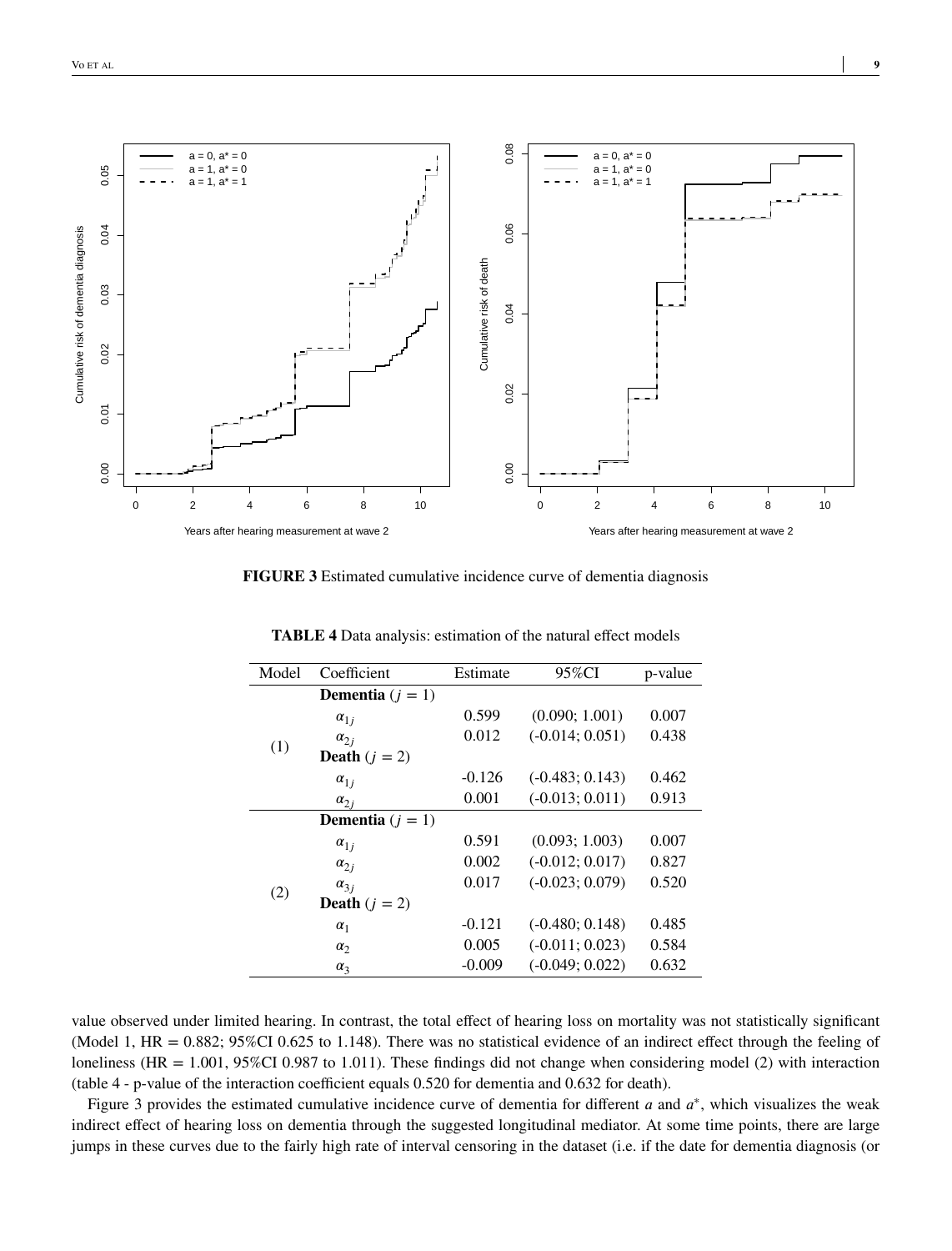

**FIGURE 3** Estimated cumulative incidence curve of dementia diagnosis

| Model | Coefficient               | Estimate | 95%CI             | p-value |
|-------|---------------------------|----------|-------------------|---------|
| (1)   | <b>Dementia</b> $(j = 1)$ |          |                   |         |
|       | $\alpha_{1i}$             | 0.599    | (0.090; 1.001)    | 0.007   |
|       | $\alpha_{2i}$             | 0.012    | $(-0.014; 0.051)$ | 0.438   |
|       | <b>Death</b> $(j = 2)$    |          |                   |         |
|       | $\alpha_{1j}$             | $-0.126$ | $(-0.483; 0.143)$ | 0.462   |
|       | $\alpha_{2j}$             | 0.001    | $(-0.013; 0.011)$ | 0.913   |
|       | <b>Dementia</b> $(j = 1)$ |          |                   |         |
|       | $\alpha_{1i}$             | 0.591    | (0.093; 1.003)    | 0.007   |
|       | $\alpha_{2i}$             | 0.002    | $(-0.012; 0.017)$ | 0.827   |
| (2)   | $\alpha_{3j}$             | 0.017    | $(-0.023; 0.079)$ | 0.520   |
|       | <b>Death</b> $(j = 2)$    |          |                   |         |
|       | $\alpha_1$                | $-0.121$ | $(-0.480; 0.148)$ | 0.485   |
|       | $\alpha_2$                | 0.005    | $(-0.011; 0.023)$ | 0.584   |
|       | $\alpha_{3}$              | $-0.009$ | $(-0.049; 0.022)$ | 0.632   |

**TABLE 4** Data analysis: estimation of the natural effect models

value observed under limited hearing. In contrast, the total effect of hearing loss on mortality was not statistically significant (Model 1, HR =  $0.882$ ;  $95\%$ CI 0.625 to 1.148). There was no statistical evidence of an indirect effect through the feeling of loneliness (HR = 1.001, 95%CI 0.987 to 1.011). These findings did not change when considering model (2) with interaction (table 4 - p-value of the interaction coefficient equals 0.520 for dementia and 0.632 for death).

Figure 3 provides the estimated cumulative incidence curve of dementia for different  $a$  and  $a^*$ , which visualizes the weak indirect effect of hearing loss on dementia through the suggested longitudinal mediator. At some time points, there are large jumps in these curves due to the fairly high rate of interval censoring in the dataset (i.e. if the date for dementia diagnosis (or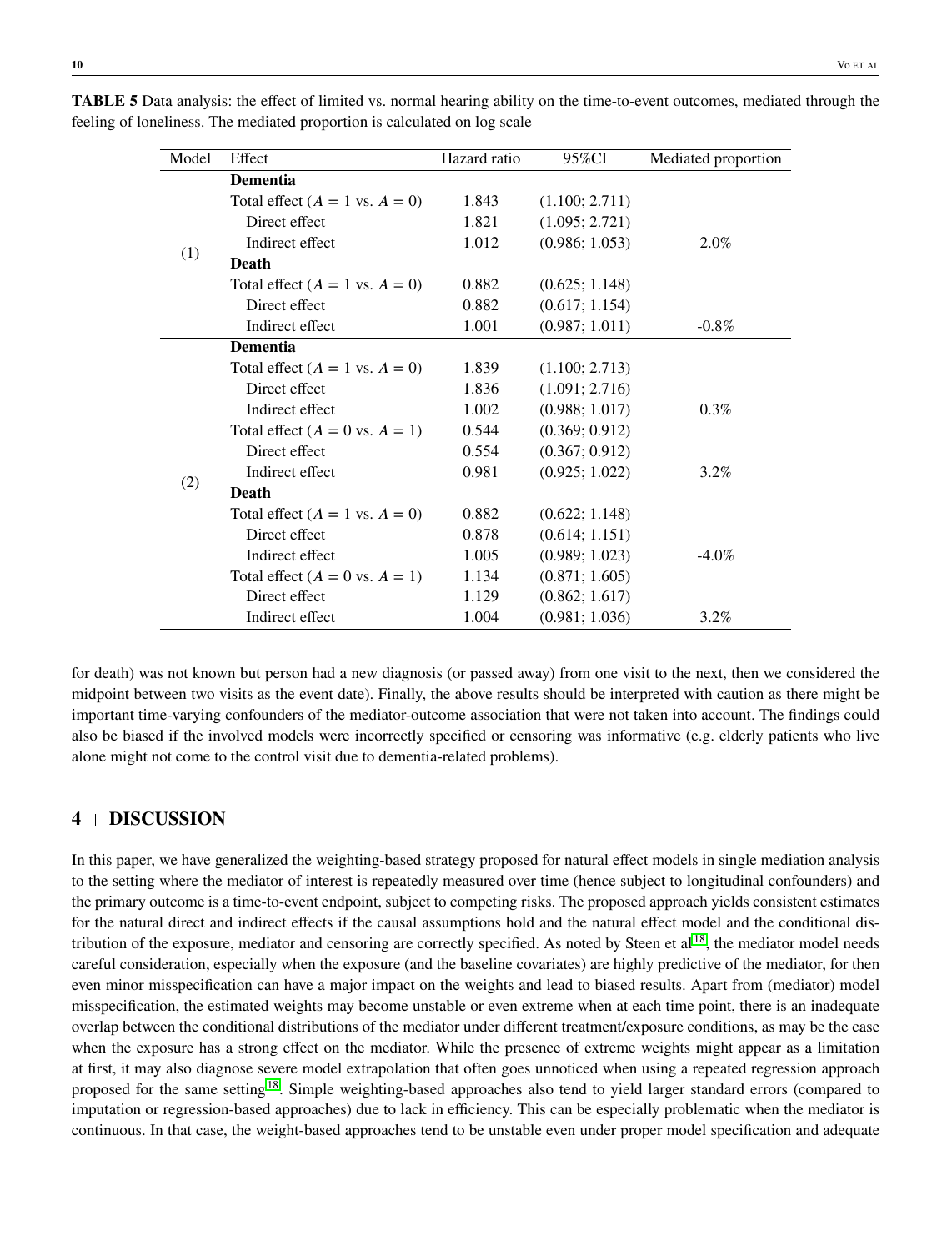| Model | Effect                                    | Hazard ratio | 95%CI          | Mediated proportion |
|-------|-------------------------------------------|--------------|----------------|---------------------|
|       | <b>Dementia</b>                           |              |                |                     |
|       | Total effect $(A = 1 \text{ vs. } A = 0)$ | 1.843        | (1.100; 2.711) |                     |
|       | Direct effect                             | 1.821        | (1.095; 2.721) |                     |
|       | Indirect effect                           | 1.012        | (0.986; 1.053) | 2.0%                |
| (1)   | Death                                     |              |                |                     |
|       | Total effect $(A = 1 \text{ vs. } A = 0)$ | 0.882        | (0.625; 1.148) |                     |
|       | Direct effect                             | 0.882        | (0.617; 1.154) |                     |
|       | Indirect effect                           | 1.001        | (0.987; 1.011) | $-0.8\%$            |
|       | <b>Dementia</b>                           |              |                |                     |
|       | Total effect $(A = 1 \text{ vs. } A = 0)$ | 1.839        | (1.100; 2.713) |                     |
|       | Direct effect                             | 1.836        | (1.091; 2.716) |                     |
|       | Indirect effect                           | 1.002        | (0.988; 1.017) | $0.3\%$             |
|       | Total effect $(A = 0 \text{ vs. } A = 1)$ | 0.544        | (0.369; 0.912) |                     |
|       | Direct effect                             | 0.554        | (0.367; 0.912) |                     |
|       | Indirect effect                           | 0.981        | (0.925; 1.022) | $3.2\%$             |
| (2)   | Death                                     |              |                |                     |
|       | Total effect $(A = 1 \text{ vs. } A = 0)$ | 0.882        | (0.622; 1.148) |                     |
|       | Direct effect                             | 0.878        | (0.614; 1.151) |                     |
|       | Indirect effect                           | 1.005        | (0.989; 1.023) | $-4.0\%$            |
|       | Total effect $(A = 0 \text{ vs. } A = 1)$ | 1.134        | (0.871; 1.605) |                     |
|       | Direct effect                             | 1.129        | (0.862; 1.617) |                     |
|       | Indirect effect                           | 1.004        | (0.981; 1.036) | $3.2\%$             |

**TABLE 5** Data analysis: the effect of limited vs. normal hearing ability on the time-to-event outcomes, mediated through the feeling of loneliness. The mediated proportion is calculated on log scale

for death) was not known but person had a new diagnosis (or passed away) from one visit to the next, then we considered the midpoint between two visits as the event date). Finally, the above results should be interpreted with caution as there might be important time-varying confounders of the mediator-outcome association that were not taken into account. The findings could also be biased if the involved models were incorrectly specified or censoring was informative (e.g. elderly patients who live alone might not come to the control visit due to dementia-related problems).

### **4 DISCUSSION**

In this paper, we have generalized the weighting-based strategy proposed for natural effect models in single mediation analysis to the setting where the mediator of interest is repeatedly measured over time (hence subject to longitudinal confounders) and the primary outcome is a time-to-event endpoint, subject to competing risks. The proposed approach yields consistent estimates for the natural direct and indirect effects if the causal assumptions hold and the natural effect model and the conditional dis-tribution of the exposure, mediator and censoring are correctly specified. As noted by Steen et al<sup>[18](#page-11-11)</sup>, the mediator model needs careful consideration, especially when the exposure (and the baseline covariates) are highly predictive of the mediator, for then even minor misspecification can have a major impact on the weights and lead to biased results. Apart from (mediator) model misspecification, the estimated weights may become unstable or even extreme when at each time point, there is an inadequate overlap between the conditional distributions of the mediator under different treatment/exposure conditions, as may be the case when the exposure has a strong effect on the mediator. While the presence of extreme weights might appear as a limitation at first, it may also diagnose severe model extrapolation that often goes unnoticed when using a repeated regression approach proposed for the same setting[18](#page-11-11). Simple weighting-based approaches also tend to yield larger standard errors (compared to imputation or regression-based approaches) due to lack in efficiency. This can be especially problematic when the mediator is continuous. In that case, the weight-based approaches tend to be unstable even under proper model specification and adequate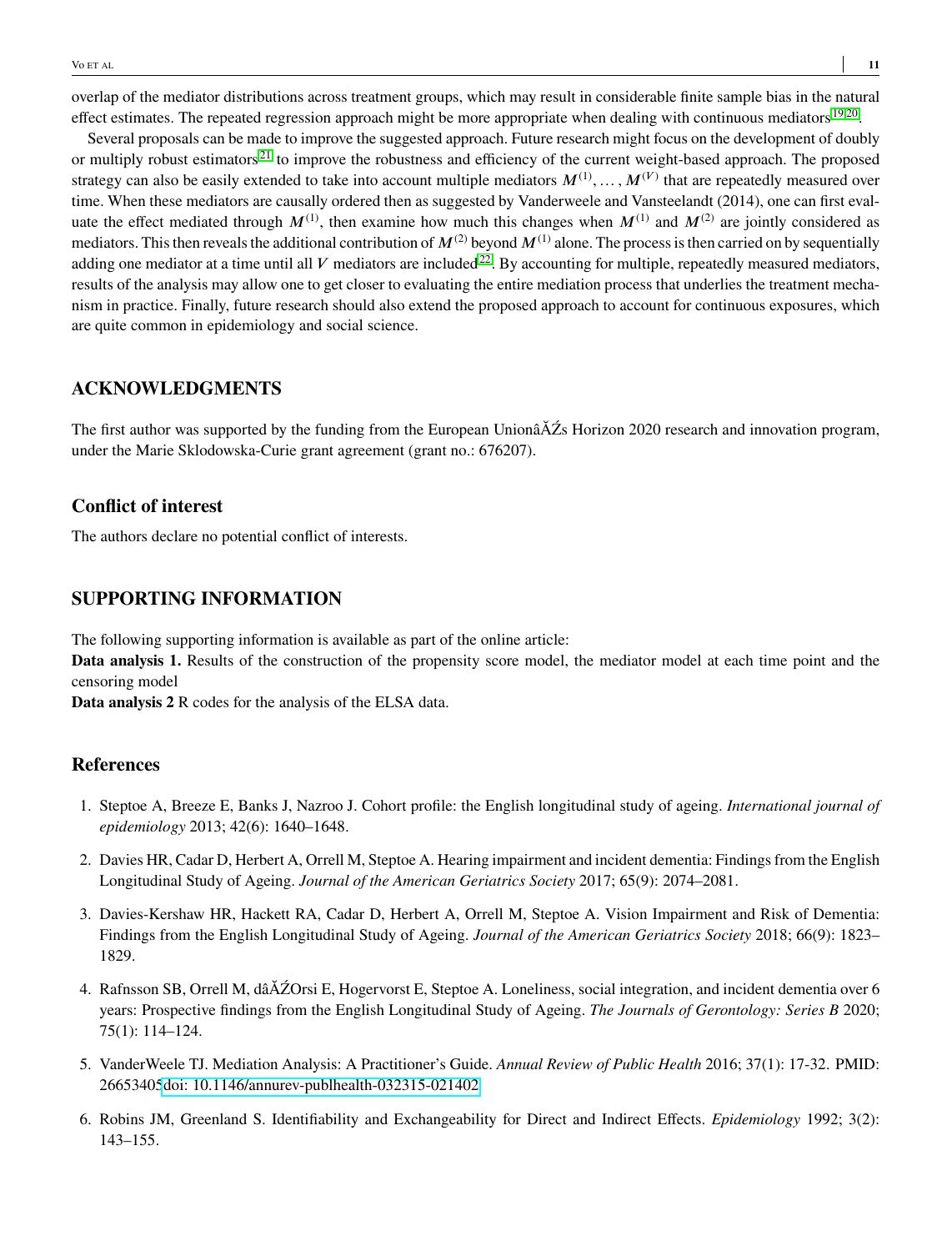overlap of the mediator distributions across treatment groups, which may result in considerable finite sample bias in the natural effect estimates. The repeated regression approach might be more appropriate when dealing with continuous mediators  $^{19,20}$  $^{19,20}$  $^{19,20}$  $^{19,20}$ .

Several proposals can be made to improve the suggested approach. Future research might focus on the development of doubly or multiply robust estimators<sup>[21](#page-11-14)</sup> to improve the robustness and efficiency of the current weight-based approach. The proposed strategy can also be easily extended to take into account multiple mediators  $M^{(1)}, \ldots, M^{(V)}$  that are repeatedly measured over time. When these mediators are causally ordered then as suggested by Vanderweele and Vansteelandt (2014), one can first evaluate the effect mediated through  $M^{(1)}$ , then examine how much this changes when  $M^{(1)}$  and  $M^{(2)}$  are jointly considered as mediators. This then reveals the additional contribution of  $M^{(2)}$  beyond  $M^{(1)}$  alone. The process is then carried on by sequentially adding one mediator at a time until all  $V$  mediators are included<sup>[22](#page-11-15)</sup>. By accounting for multiple, repeatedly measured mediators, results of the analysis may allow one to get closer to evaluating the entire mediation process that underlies the treatment mechanism in practice. Finally, future research should also extend the proposed approach to account for continuous exposures, which are quite common in epidemiology and social science.

## **ACKNOWLEDGMENTS**

The first author was supported by the funding from the European UnionâĂŹs Horizon 2020 research and innovation program, under the Marie Sklodowska-Curie grant agreement (grant no.: 676207).

### **Conflict of interest**

The authors declare no potential conflict of interests.

# **SUPPORTING INFORMATION**

The following supporting information is available as part of the online article:

**Data analysis 1.** Results of the construction of the propensity score model, the mediator model at each time point and the censoring model

**Data analysis 2** R codes for the analysis of the ELSA data.

### **References**

- <span id="page-10-0"></span>1. Steptoe A, Breeze E, Banks J, Nazroo J. Cohort profile: the English longitudinal study of ageing. *International journal of epidemiology* 2013; 42(6): 1640–1648.
- <span id="page-10-1"></span>2. Davies HR, Cadar D, Herbert A, Orrell M, Steptoe A. Hearing impairment and incident dementia: Findings from the English Longitudinal Study of Ageing. *Journal of the American Geriatrics Society* 2017; 65(9): 2074–2081.
- <span id="page-10-2"></span>3. Davies-Kershaw HR, Hackett RA, Cadar D, Herbert A, Orrell M, Steptoe A. Vision Impairment and Risk of Dementia: Findings from the English Longitudinal Study of Ageing. *Journal of the American Geriatrics Society* 2018; 66(9): 1823– 1829.
- <span id="page-10-3"></span>4. Rafnsson SB, Orrell M, dâĂŹOrsi E, Hogervorst E, Steptoe A. Loneliness, social integration, and incident dementia over 6 years: Prospective findings from the English Longitudinal Study of Ageing. *The Journals of Gerontology: Series B* 2020; 75(1): 114–124.
- <span id="page-10-4"></span>5. VanderWeele TJ. Mediation Analysis: A Practitioner's Guide. *Annual Review of Public Health* 2016; 37(1): 17-32. PMID: 2665340[5doi: 10.1146/annurev-publhealth-032315-021402](http://dx.doi.org/ 10.1146/annurev-publhealth-032315-021402)
- <span id="page-10-5"></span>6. Robins JM, Greenland S. Identifiability and Exchangeability for Direct and Indirect Effects. *Epidemiology* 1992; 3(2): 143–155.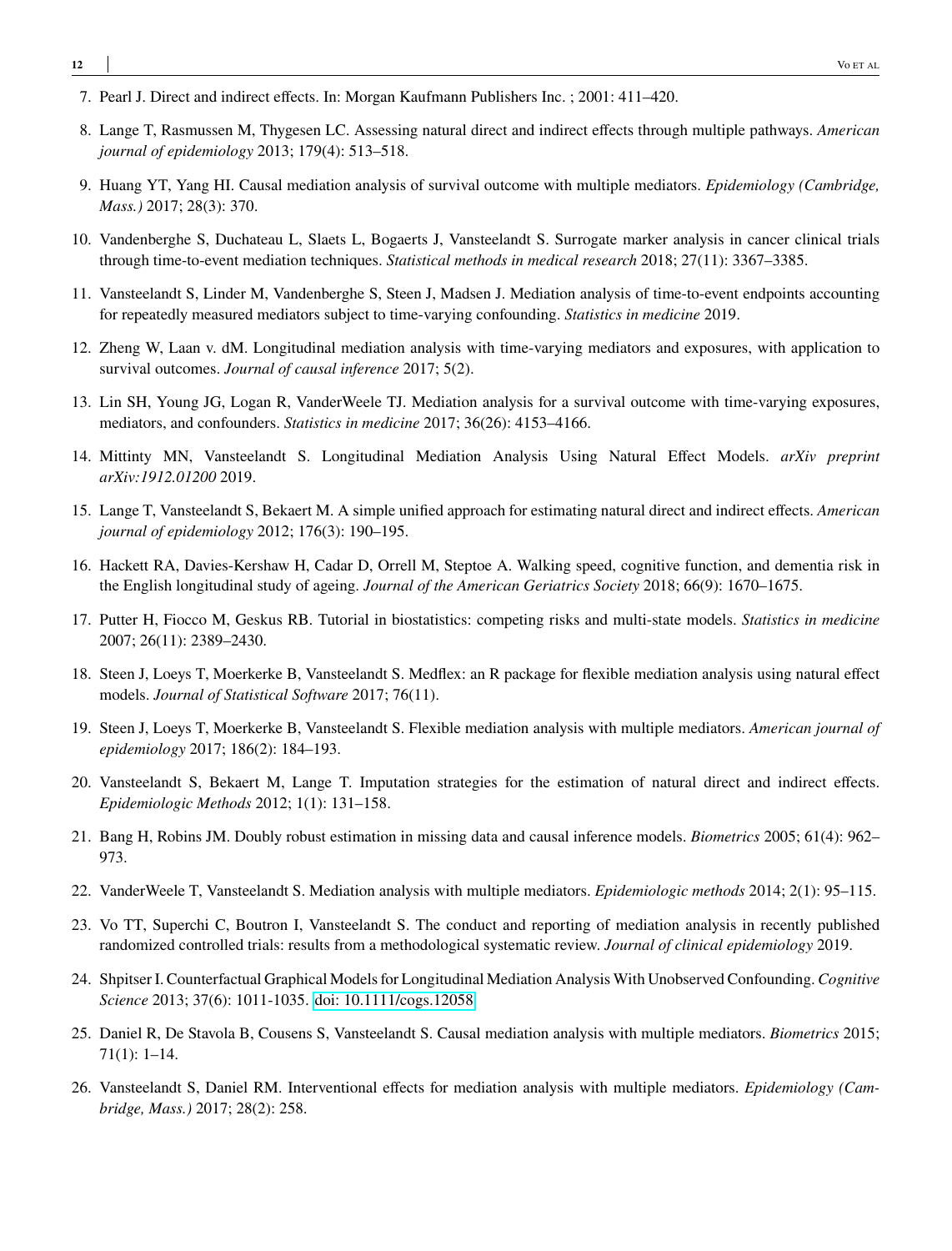- <span id="page-11-0"></span>7. Pearl J. Direct and indirect effects. In: Morgan Kaufmann Publishers Inc. ; 2001: 411–420.
- <span id="page-11-1"></span>8. Lange T, Rasmussen M, Thygesen LC. Assessing natural direct and indirect effects through multiple pathways. *American journal of epidemiology* 2013; 179(4): 513–518.
- <span id="page-11-2"></span>9. Huang YT, Yang HI. Causal mediation analysis of survival outcome with multiple mediators. *Epidemiology (Cambridge, Mass.)* 2017; 28(3): 370.
- <span id="page-11-3"></span>10. Vandenberghe S, Duchateau L, Slaets L, Bogaerts J, Vansteelandt S. Surrogate marker analysis in cancer clinical trials through time-to-event mediation techniques. *Statistical methods in medical research* 2018; 27(11): 3367–3385.
- <span id="page-11-4"></span>11. Vansteelandt S, Linder M, Vandenberghe S, Steen J, Madsen J. Mediation analysis of time-to-event endpoints accounting for repeatedly measured mediators subject to time-varying confounding. *Statistics in medicine* 2019.
- <span id="page-11-5"></span>12. Zheng W, Laan v. dM. Longitudinal mediation analysis with time-varying mediators and exposures, with application to survival outcomes. *Journal of causal inference* 2017; 5(2).
- <span id="page-11-6"></span>13. Lin SH, Young JG, Logan R, VanderWeele TJ. Mediation analysis for a survival outcome with time-varying exposures, mediators, and confounders. *Statistics in medicine* 2017; 36(26): 4153–4166.
- <span id="page-11-7"></span>14. Mittinty MN, Vansteelandt S. Longitudinal Mediation Analysis Using Natural Effect Models. *arXiv preprint arXiv:1912.01200* 2019.
- <span id="page-11-8"></span>15. Lange T, Vansteelandt S, Bekaert M. A simple unified approach for estimating natural direct and indirect effects. *American journal of epidemiology* 2012; 176(3): 190–195.
- <span id="page-11-9"></span>16. Hackett RA, Davies-Kershaw H, Cadar D, Orrell M, Steptoe A. Walking speed, cognitive function, and dementia risk in the English longitudinal study of ageing. *Journal of the American Geriatrics Society* 2018; 66(9): 1670–1675.
- <span id="page-11-10"></span>17. Putter H, Fiocco M, Geskus RB. Tutorial in biostatistics: competing risks and multi-state models. *Statistics in medicine* 2007; 26(11): 2389–2430.
- <span id="page-11-11"></span>18. Steen J, Loeys T, Moerkerke B, Vansteelandt S. Medflex: an R package for flexible mediation analysis using natural effect models. *Journal of Statistical Software* 2017; 76(11).
- <span id="page-11-12"></span>19. Steen J, Loeys T, Moerkerke B, Vansteelandt S. Flexible mediation analysis with multiple mediators. *American journal of epidemiology* 2017; 186(2): 184–193.
- <span id="page-11-13"></span>20. Vansteelandt S, Bekaert M, Lange T. Imputation strategies for the estimation of natural direct and indirect effects. *Epidemiologic Methods* 2012; 1(1): 131–158.
- <span id="page-11-14"></span>21. Bang H, Robins JM. Doubly robust estimation in missing data and causal inference models. *Biometrics* 2005; 61(4): 962– 973.
- <span id="page-11-15"></span>22. VanderWeele T, Vansteelandt S. Mediation analysis with multiple mediators. *Epidemiologic methods* 2014; 2(1): 95–115.
- 23. Vo TT, Superchi C, Boutron I, Vansteelandt S. The conduct and reporting of mediation analysis in recently published randomized controlled trials: results from a methodological systematic review. *Journal of clinical epidemiology* 2019.
- 24. Shpitser I. Counterfactual Graphical Models for Longitudinal Mediation Analysis With Unobserved Confounding. *Cognitive Science* 2013; 37(6): 1011-1035. [doi: 10.1111/cogs.12058](http://dx.doi.org/10.1111/cogs.12058)
- 25. Daniel R, De Stavola B, Cousens S, Vansteelandt S. Causal mediation analysis with multiple mediators. *Biometrics* 2015; 71(1): 1–14.
- 26. Vansteelandt S, Daniel RM. Interventional effects for mediation analysis with multiple mediators. *Epidemiology (Cambridge, Mass.)* 2017; 28(2): 258.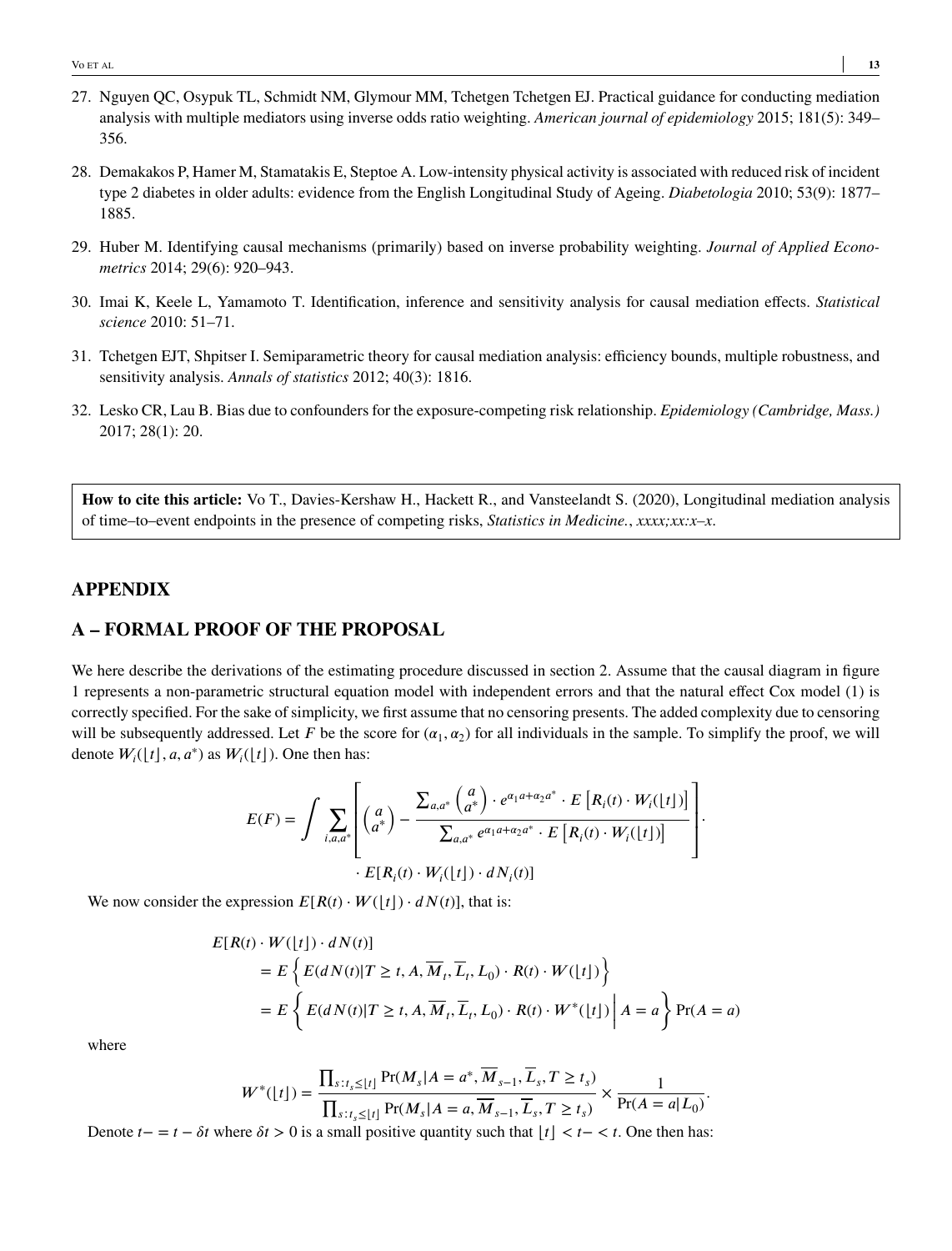- 27. Nguyen QC, Osypuk TL, Schmidt NM, Glymour MM, Tchetgen Tchetgen EJ. Practical guidance for conducting mediation analysis with multiple mediators using inverse odds ratio weighting. *American journal of epidemiology* 2015; 181(5): 349– 356.
- 28. Demakakos P, Hamer M, Stamatakis E, Steptoe A. Low-intensity physical activity is associated with reduced risk of incident type 2 diabetes in older adults: evidence from the English Longitudinal Study of Ageing. *Diabetologia* 2010; 53(9): 1877– 1885.
- 29. Huber M. Identifying causal mechanisms (primarily) based on inverse probability weighting. *Journal of Applied Econometrics* 2014; 29(6): 920–943.
- 30. Imai K, Keele L, Yamamoto T. Identification, inference and sensitivity analysis for causal mediation effects. *Statistical science* 2010: 51–71.
- 31. Tchetgen EJT, Shpitser I. Semiparametric theory for causal mediation analysis: efficiency bounds, multiple robustness, and sensitivity analysis. *Annals of statistics* 2012; 40(3): 1816.
- 32. Lesko CR, Lau B. Bias due to confounders for the exposure-competing risk relationship. *Epidemiology (Cambridge, Mass.)* 2017; 28(1): 20.

**How to cite this article:** Vo T., Davies-Kershaw H., Hackett R., and Vansteelandt S. (2020), Longitudinal mediation analysis of time–to–event endpoints in the presence of competing risks, *Statistics in Medicine.*, *xxxx;xx:x–x*.

# **APPENDIX**

## **A – FORMAL PROOF OF THE PROPOSAL**

We here describe the derivations of the estimating procedure discussed in section 2. Assume that the causal diagram in figure 1 represents a non-parametric structural equation model with independent errors and that the natural effect Cox model (1) is correctly specified. For the sake of simplicity, we first assume that no censoring presents. The added complexity due to censoring will be subsequently addressed. Let *F* be the score for  $(\alpha_1, \alpha_2)$  for all individuals in the sample. To simplify the proof, we will denote  $W_i(\lfloor t \rfloor, a, a^*)$  as  $W_i(\lfloor t \rfloor)$ . One then has:

$$
E(F) = \int \sum_{i,a,a^*} \left[ \binom{a}{a^*} - \frac{\sum_{a,a^*} \binom{a}{a^*} \cdot e^{\alpha_1 a + \alpha_2 a^*} \cdot E\left[R_i(t) \cdot W_i(\lfloor t \rfloor)\right]}{\sum_{a,a^*} e^{\alpha_1 a + \alpha_2 a^*} \cdot E\left[R_i(t) \cdot W_i(\lfloor t \rfloor)\right]} \right].
$$
  
 
$$
\cdot E[R_i(t) \cdot W_i(\lfloor t \rfloor) \cdot dN_i(t)]
$$

We now consider the expression  $E[R(t) \cdot W(|t|) \cdot dN(t)]$ , that is:

$$
E[R(t) \cdot W(\lfloor t \rfloor) \cdot dN(t)]
$$
  
=  $E\left\{E(dN(t)|T \ge t, A, \overline{M}_t, \overline{L}_t, L_0) \cdot R(t) \cdot W(\lfloor t \rfloor)\right\}$   
=  $E\left\{E(dN(t)|T \ge t, A, \overline{M}_t, \overline{L}_t, L_0) \cdot R(t) \cdot W^*(\lfloor t \rfloor) | A = a\right\} \Pr(A = a)$ 

where

$$
W^*(\lfloor t \rfloor) = \frac{\prod_{s:t_s \leq \lfloor t \rfloor} Pr(M_s | A = a^*, \overline{M}_{s-1}, \overline{L}_s, T \geq t_s)}{\prod_{s:t_s \leq \lfloor t \rfloor} Pr(M_s | A = a, \overline{M}_{s-1}, \overline{L}_s, T \geq t_s)} \times \frac{1}{Pr(A = a | L_0)}.
$$

Denote  $t - = t - \delta t$  where  $\delta t > 0$  is a small positive quantity such that  $|t| < t - < t$ . One then has: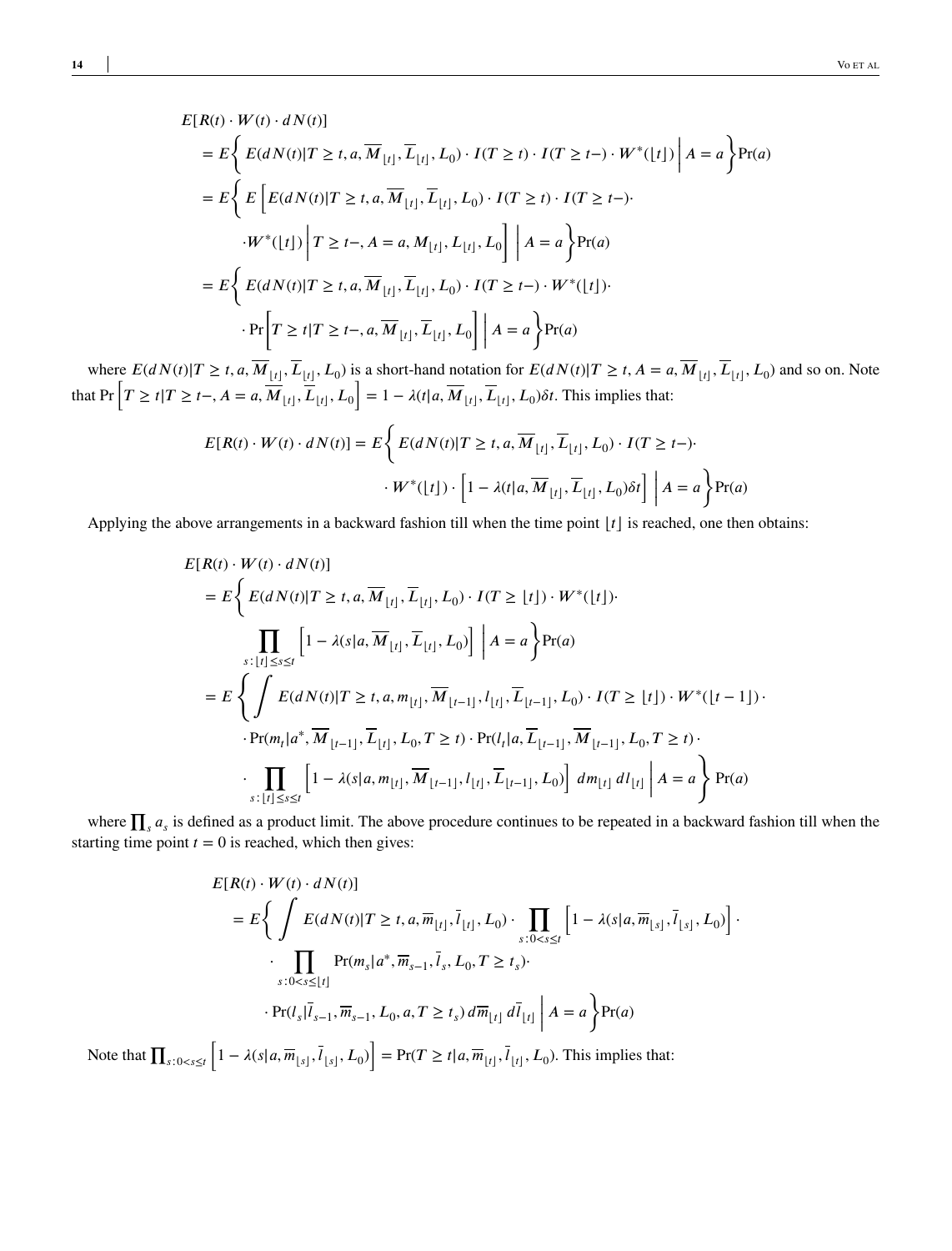$$
E[R(t) \cdot W(t) \cdot dN(t)]
$$
  
\n
$$
= E\left\{ E(dN(t)|T \ge t, a, \overline{M}_{[t]}, \overline{L}_{[t]}, L_0) \cdot I(T \ge t) \cdot I(T \ge t) \cdot W^*(\lfloor t \rfloor) \middle| A = a \right\} Pr(a)
$$
  
\n
$$
= E\left\{ E\left[ E(dN(t)|T \ge t, a, \overline{M}_{[t]}, \overline{L}_{[t]}, L_0) \cdot I(T \ge t) \cdot I(T \ge t) \right] \cdot W^*(\lfloor t \rfloor) \middle| T \ge t-, A = a, M_{[t]}, L_{[t]}, L_0 \right] \middle| A = a \right\} Pr(a)
$$
  
\n
$$
= E\left\{ E(dN(t)|T \ge t, a, \overline{M}_{[t]}, \overline{L}_{[t]}, L_0) \cdot I(T \ge t-) \cdot W^*(\lfloor t \rfloor) \cdot W^*(\lfloor t \rfloor) \cdot \cdot \cdot \cdot W^*(\lfloor t \rfloor) \cdot W^*(\lfloor t \rfloor) \cdot W^*(\lfloor t \rfloor) \cdot W^*(\lfloor t \rfloor) \cdot W^*(\lfloor t \rfloor) \cdot W^*(\lfloor t \rfloor) \cdot W^*(\lfloor t \rfloor) \cdot W^*(\lfloor t \rfloor) \cdot W^*(\lfloor t \rfloor) \cdot W^*(\lfloor t \rfloor) \cdot W^*(\lfloor t \rfloor) \cdot W^*(\lfloor t \rfloor) \cdot W^*(\lfloor t \rfloor) \cdot W^*(\lfloor t \rfloor) \cdot W^*(\lfloor t \rfloor) \cdot W^*(\lfloor t \rfloor) \cdot W^*(\lfloor t \rfloor) \cdot W^*(\lfloor t \rfloor) \cdot W^*(\lfloor t \rfloor) \cdot W^*(\lfloor t \rfloor) \cdot W^*(\lfloor t \rfloor) \cdot W^*(\lfloor t \rfloor) \cdot W^*(\lfloor t \rfloor) \cdot W^*(\lfloor t \rfloor) \cdot W^*(\lfloor t \rfloor) \cdot W^*(\lfloor t \rfloor) \cdot W^*(\lfloor t \rfloor) \cdot W^*(\lfloor t \rfloor) \cdot W^*(\lfloor t \rfloor) \cdot W^*(\lfloor t \rfloor) \cdot W^*(\lfloor t \rfloor) \cdot W^*(\lfloor t \rfloor) \cdot W^*(\lfloor t \rfloor) \cdot
$$

where  $E(dN(t)|T \ge t, a, \overline{M}_{\lfloor t \rfloor}, \overline{L}_{\lfloor t \rfloor}, L_0)$  is a short-hand notation for  $E(dN(t)|T \ge t, A = a, \overline{M}_{\lfloor t \rfloor}, \overline{L}_{\lfloor t \rfloor}, L_0)$  and so on. Note that Pr  $\left[T \ge t | T \ge t-, A = a, \overline{M}_{\lfloor t \rfloor}, \overline{L}_{\lfloor t \rfloor}, L_0\right] = 1 - \lambda(t|a, \overline{M$ ت<br>1  $= 1 - \lambda(t | a, M_{\lfloor t \rfloor}, L_{\lfloor t \rfloor}, L_0) \delta t$ . This implies that:

$$
E[R(t) \cdot W(t) \cdot dN(t)] = E\left\{ E(dN(t)|T \ge t, a, \overline{M}_{\lfloor t \rfloor}, \overline{L}_{\lfloor t \rfloor}, L_0) \cdot I(T \ge t-) \cdot W^*(\lfloor t \rfloor) \cdot \left[ 1 - \lambda(t|a, \overline{M}_{\lfloor t \rfloor}, \overline{L}_{\lfloor t \rfloor}, L_0) \delta t \right] \middle| A = a \right\} Pr(a)
$$

Applying the above arrangements in a backward fashion till when the time point  $|t|$  is reached, one then obtains:

$$
E[R(t) \cdot W(t) \cdot dN(t)]
$$
  
\n
$$
= E\left\{ E(dN(t)|T \ge t, a, \overline{M}_{[t]}, \overline{L}_{[t]}, L_0) \cdot I(T \ge [t]) \cdot W^*([t]) \cdot \right\}
$$
  
\n
$$
\prod_{s: |t| \le s \le t} \left[ 1 - \lambda(s|a, \overline{M}_{[t]}, \overline{L}_{[t]}, L_0) \right] \Big| A = a \right\} Pr(a)
$$
  
\n
$$
= E\left\{ \int E(dN(t)|T \ge t, a, m_{[t]}, \overline{M}_{[t-1]}, l_{[t]}, \overline{L}_{[t-1]}, L_0) \cdot I(T \ge [t]) \cdot W^*([t-1]) \cdot \right. \cdot Pr(m_t|a^*, \overline{M}_{[t-1]}, \overline{L}_{[t]}, L_0, T \ge t) \cdot Pr(l_t|a, \overline{L}_{[t-1]}, \overline{M}_{[t-1]}, L_0, T \ge t) \cdot \right\}
$$
  
\n
$$
\cdot \prod_{s: |t| \le s \le t} \left[ 1 - \lambda(s|a, m_{[t]}, \overline{M}_{[t-1]}, l_{[t]}, \overline{L}_{[t-1]}, L_0) \right] dm_{[t]} dl_{[t]} \Big| A = a \right\} Pr(a)
$$

where  $\prod_s a_s$  is defined as a product limit. The above procedure continues to be repeated in a backward fashion till when the starting time point  $t = 0$  is reached, which then gives:

$$
E[R(t) \cdot W(t) \cdot dN(t)]
$$
  
=  $E\left\{\int E(dN(t)|T \ge t, a, \overline{m}_{[t]}, \overline{l}_{[t]}, L_0) \cdot \prod_{s:0 < s \le t} \left[1 - \lambda(s|a, \overline{m}_{[s]}, \overline{l}_{[s]}, L_0)\right] \cdot \prod_{s:0 < s \le t} Pr(m_s|a^*, \overline{m}_{s-1}, \overline{l}_s, L_0, T \ge t_s) \cdot \Pr(l_s|\overline{l}_{s-1}, \overline{m}_{s-1}, L_0, a, T \ge t_s) d\overline{m}_{[t]} d\overline{l}_{[t]} \right\} A = a\right\} Pr(a)$ 

Note that  $\prod_{s:0$  $1 - \lambda(s | a, \overline{m}_{\lfloor s \rfloor}, l_{\lfloor s \rfloor}, L_0)$  $\left]$  = Pr(*T*  $\geq$  *t*|*a*, $\overline{m}_{\lfloor t \rfloor}$ , $\overline{l}_{\lfloor t \rfloor}$ ,  $L_0$ ). This implies that: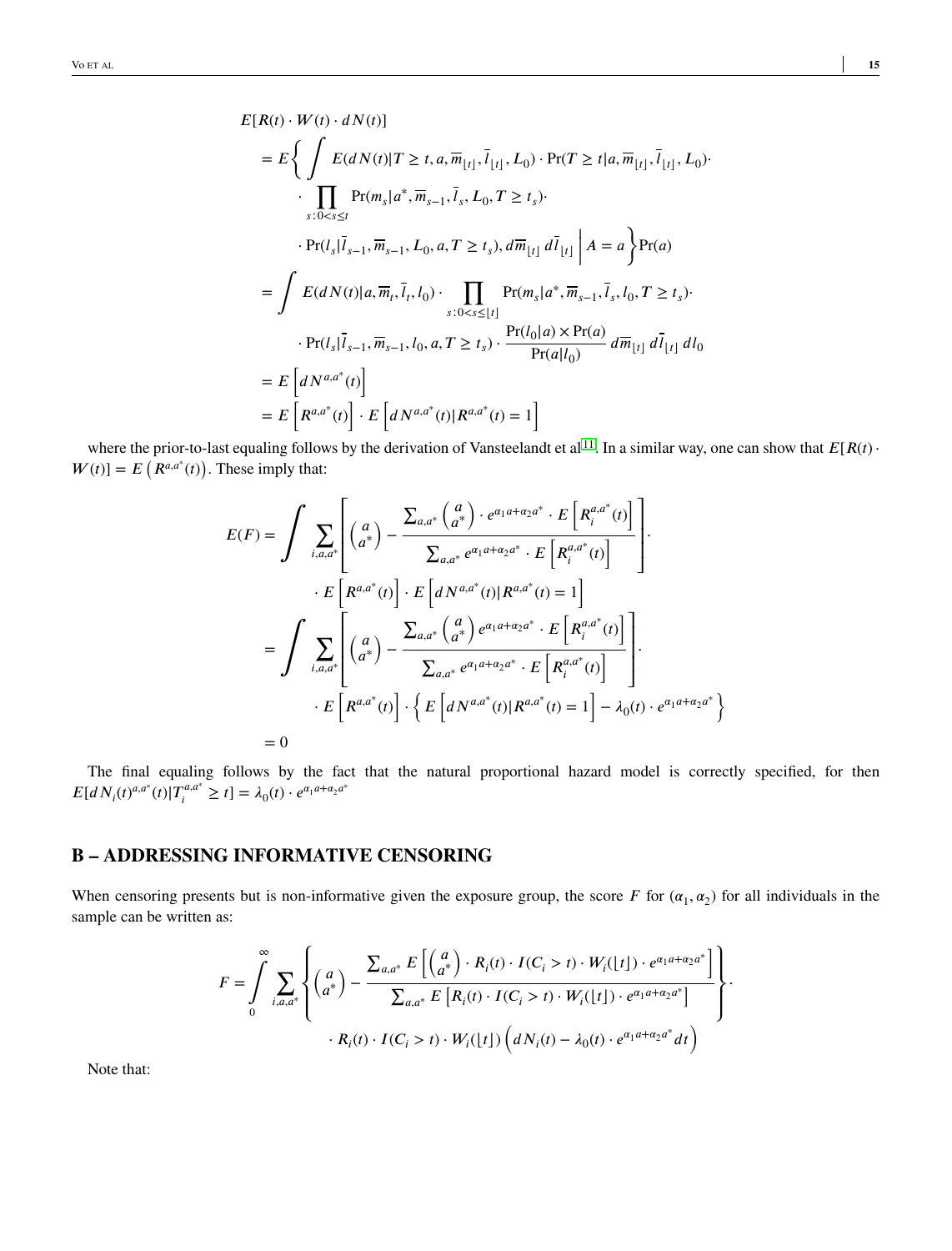$$
E[R(t) \cdot W(t) \cdot dN(t)]
$$
  
\n
$$
= E\left\{ \int E(dN(t)|T \ge t, a, \overline{m}_{[t]}, \overline{l}_{[t]}, L_0) \cdot Pr(T \ge t|a, \overline{m}_{[t]}, \overline{l}_{[t]}, L_0) \cdot \prod_{s:0 < s \le t} Pr(m_s|a^*, \overline{m}_{s-1}, \overline{l}_s, L_0, T \ge t_s) \cdot \right\}
$$
  
\n
$$
\cdot Pr(l_s|\overline{l}_{s-1}, \overline{m}_{s-1}, L_0, a, T \ge t_s), d\overline{m}_{[t]} d\overline{l}_{[t]} | A = a \right\} Pr(a)
$$
  
\n
$$
= \int E(dN(t)|a, \overline{m}_t, \overline{l}_t, l_0) \cdot \prod_{s:0 < s \le [t]} Pr(m_s|a^*, \overline{m}_{s-1}, \overline{l}_s, l_0, T \ge t_s) \cdot \prod_{s:0 < s \le [t]} Pr(m_s|a^*, \overline{m}_{s-1}, \overline{l}_s, l_0, T \ge t_s) \cdot \prod_{r \in (t_s|\overline{l}_{s-1}, \overline{m}_{s-1}, l_0, a, T \ge t_s) \cdot \frac{Pr(l_0|a) \times Pr(a)}{Pr(a|l_0)} d\overline{m}_{[t]} d\overline{l}_{[t]} d l_0
$$
  
\n
$$
= E\left[dN^{a,a^*}(t)\right]
$$
  
\n
$$
= E\left[R^{a,a^*}(t)\right] \cdot E\left[dN^{a,a^*}(t)|R^{a,a^*}(t) = 1\right]
$$

where the prior-to-last equaling follows by the derivation of Vansteelandt et al<sup>[11](#page-11-4)</sup>. In a similar way, one can show that  $E[R(t)$  $W(t) = E(R^{a,a^*}(t))$ . These imply that:

$$
E(F) = \int \sum_{i,a,a^*} \left[ \binom{a}{a^*} - \frac{\sum_{a,a^*} \binom{a}{a^*} \cdot e^{\alpha_1 a + \alpha_2 a^*} \cdot E\left[R_i^{a,a^*}(t)\right]}{\sum_{a,a^*} e^{\alpha_1 a + \alpha_2 a^*} \cdot E\left[R_i^{a,a^*}(t)\right]} \right].
$$
  

$$
\cdot E\left[R^{a,a^*}(t)\right] \cdot E\left[dN^{a,a^*}(t)|R^{a,a^*}(t) = 1\right]
$$
  

$$
= \int \sum_{i,a,a^*} \left[ \binom{a}{a^*} - \frac{\sum_{a,a^*} \binom{a}{a^*} e^{\alpha_1 a + \alpha_2 a^*} \cdot E\left[R_i^{a,a^*}(t)\right]}{\sum_{a,a^*} e^{\alpha_1 a + \alpha_2 a^*} \cdot E\left[R_i^{a,a^*}(t)\right]} \right].
$$
  

$$
\cdot E\left[R^{a,a^*}(t)\right] \cdot \left\{E\left[dN^{a,a^*}(t)|R^{a,a^*}(t) = 1\right] - \lambda_0(t) \cdot e^{\alpha_1 a + \alpha_2 a^*}\right\}
$$
  
= 0

The final equaling follows by the fact that the natural proportional hazard model is correctly specified, for then  $E[dN_i(t)^{a,a^*}(t)|T_i^{a,a^*} \geq t] = \lambda_0(t) \cdot e^{\alpha_1 a + \alpha_2 a^*}$ 

### **B – ADDRESSING INFORMATIVE CENSORING**

When censoring presents but is non-informative given the exposure group, the score  $F$  for  $(\alpha_1, \alpha_2)$  for all individuals in the sample can be written as:

$$
F = \int_{0}^{\infty} \sum_{i,a,a^*} \left\{ \begin{pmatrix} a \\ a^* \end{pmatrix} - \frac{\sum_{a,a^*} E\left[ \begin{pmatrix} a \\ a^* \end{pmatrix} \cdot R_i(t) \cdot I(C_i > t) \cdot W_i(\lfloor t \rfloor) \cdot e^{\alpha_1 a + \alpha_2 a^*} \right] \cdot R_i(t) \cdot R_{i}(t) \cdot K_{i}(t) \cdot I(C_i > t) \cdot W_i(\lfloor t \rfloor) \cdot e^{\alpha_1 a + \alpha_2 a^*} \right\} \cdot R_i(t) \cdot I(C_i > t) \cdot W_i(\lfloor t \rfloor) \left( dN_i(t) - \lambda_0(t) \cdot e^{\alpha_1 a + \alpha_2 a^*} dt \right)
$$

Note that: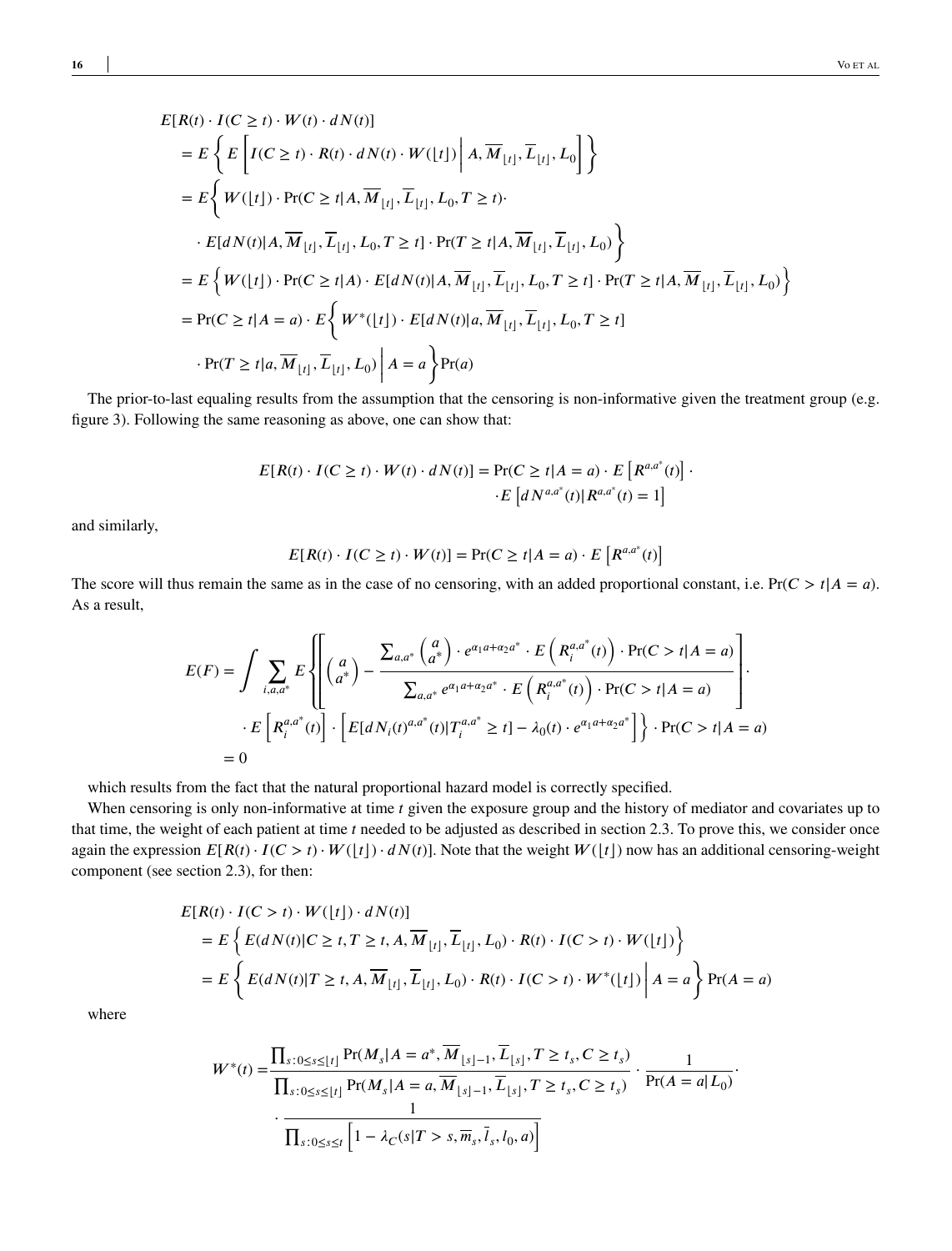$$
E[R(t) \cdot I(C \ge t) \cdot W(t) \cdot dN(t)]
$$
  
\n
$$
= E\left\{ E\left[I(C \ge t) \cdot R(t) \cdot dN(t) \cdot W([t]) \middle| A, \overline{M}_{[t]}, \overline{L}_{[t]}, L_0 \right] \right\}
$$
  
\n
$$
= E\left\{ W([t]) \cdot \Pr(C \ge t | A, \overline{M}_{[t]}, \overline{L}_{[t]}, L_0, T \ge t) \right\}
$$
  
\n
$$
\cdot E[dN(t) | A, \overline{M}_{[t]}, \overline{L}_{[t]}, L_0, T \ge t] \cdot \Pr(T \ge t | A, \overline{M}_{[t]}, \overline{L}_{[t]}, L_0) \right\}
$$
  
\n
$$
= E\left\{ W([t]) \cdot \Pr(C \ge t | A) \cdot E[dN(t) | A, \overline{M}_{[t]}, \overline{L}_{[t]}, L_0, T \ge t] \cdot \Pr(T \ge t | A, \overline{M}_{[t]}, \overline{L}_{[t]}, L_0) \right\}
$$
  
\n
$$
= \Pr(C \ge t | A = a) \cdot E\left\{ W^*([t]) \cdot E[dN(t) | a, \overline{M}_{[t]}, \overline{L}_{[t]}, L_0, T \ge t] \right\}
$$
  
\n
$$
\cdot \Pr(T \ge t | a, \overline{M}_{[t]}, \overline{L}_{[t]}, L_0) \middle| A = a \right\} \Pr(a)
$$

The prior-to-last equaling results from the assumption that the censoring is non-informative given the treatment group (e.g. figure 3). Following the same reasoning as above, one can show that:

$$
E[R(t) \cdot I(C \ge t) \cdot W(t) \cdot dN(t)] = Pr(C \ge t | A = a) \cdot E[R^{a,a^*}(t)] \cdot E[dN^{a,a^*}(t) | R^{a,a^*}(t) = 1]
$$

and similarly,

$$
E[R(t) \cdot I(C \ge t) \cdot W(t)] = \Pr(C \ge t | A = a) \cdot E[R^{a,a^*}(t)]
$$

The score will thus remain the same as in the case of no censoring, with an added proportional constant, i.e.  $Pr(C > t | A = a)$ . As a result,

$$
E(F) = \int \sum_{i,a,a^*} E \left\{ \left[ \begin{pmatrix} a \\ a^* \end{pmatrix} - \frac{\sum_{a,a^*} {a \choose a^*} \cdot e^{\alpha_1 a + \alpha_2 a^*} \cdot E \left( R_i^{a,a^*}(t) \right) \cdot \Pr(C > t | A = a) }{\sum_{a,a^*} e^{\alpha_1 a + \alpha_2 a^*} \cdot E \left( R_i^{a,a^*}(t) \right) \cdot \Pr(C > t | A = a)} \right] \cdot E \left[ R_i^{a,a^*}(t) \right] \cdot \left[ E[dN_i(t)^{a,a^*}(t) | T_i^{a,a^*} \ge t] - \lambda_0(t) \cdot e^{\alpha_1 a + \alpha_2 a^*} \right] \right\} \cdot \Pr(C > t | A = a)
$$
  
= 0

which results from the fact that the natural proportional hazard model is correctly specified.

When censoring is only non-informative at time *t* given the exposure group and the history of mediator and covariates up to that time, the weight of each patient at time *t* needed to be adjusted as described in section 2.3. To prove this, we consider once again the expression  $E[R(t) \cdot I(C > t) \cdot W(\lfloor t \rfloor) \cdot dN(t)]$ . Note that the weight  $W(\lfloor t \rfloor)$  now has an additional censoring-weight component (see section 2.3), for then:

$$
E[R(t) \cdot I(C > t) \cdot W([t]) \cdot dN(t)]
$$
  
= 
$$
E\left\{E(dN(t)|C \ge t, T \ge t, A, \overline{M}_{[t]}, \overline{L}_{[t]}, L_0) \cdot R(t) \cdot I(C > t) \cdot W([t])\right\}
$$
  
= 
$$
E\left\{E(dN(t)|T \ge t, A, \overline{M}_{[t]}, \overline{L}_{[t]}, L_0) \cdot R(t) \cdot I(C > t) \cdot W^*([t]) \middle| A = a\right\} \Pr(A = a)
$$

where

$$
W^*(t) = \frac{\prod_{s:0 \le s \le \lfloor t \rfloor} \Pr(M_s | A = a^*, \overline{M}_{\lfloor s \rfloor - 1}, \overline{L}_{\lfloor s \rfloor}, T \ge t_s, C \ge t_s)}{\prod_{s:0 \le s \le \lfloor t \rfloor} \Pr(M_s | A = a, \overline{M}_{\lfloor s \rfloor - 1}, \overline{L}_{\lfloor s \rfloor}, T \ge t_s, C \ge t_s)} \cdot \frac{1}{\Pr(A = a | L_0)}.
$$

$$
\cdot \frac{1}{\prod_{s:0 \le s \le t} \left[1 - \lambda_C(s | T > s, \overline{m}_s, \overline{l}_s, l_0, a)\right]}
$$